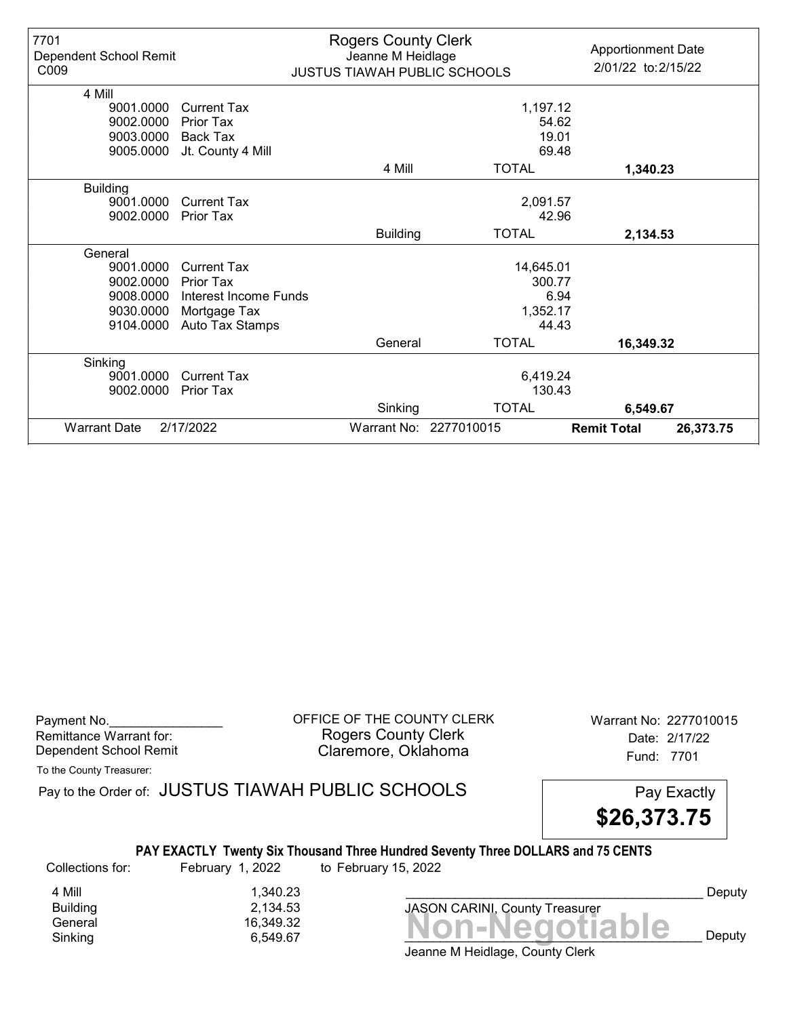| 7701<br>Dependent School Remit<br>C009 |                       | <b>Rogers County Clerk</b><br>Jeanne M Heidlage<br><b>JUSTUS TIAWAH PUBLIC SCHOOLS</b> |                        | <b>Apportionment Date</b><br>2/01/22 to: 2/15/22 |
|----------------------------------------|-----------------------|----------------------------------------------------------------------------------------|------------------------|--------------------------------------------------|
| 4 Mill                                 |                       |                                                                                        |                        |                                                  |
| 9001.0000                              | Current Tax           |                                                                                        | 1,197.12               |                                                  |
| 9002.0000                              | Prior Tax             |                                                                                        | 54.62                  |                                                  |
| 9003.0000                              | <b>Back Tax</b>       |                                                                                        | 19.01                  |                                                  |
| 9005.0000                              | Jt. County 4 Mill     |                                                                                        | 69.48                  |                                                  |
|                                        |                       | 4 Mill                                                                                 | <b>TOTAL</b>           | 1,340.23                                         |
| <b>Building</b>                        |                       |                                                                                        |                        |                                                  |
| 9001.0000                              | <b>Current Tax</b>    |                                                                                        | 2,091.57               |                                                  |
| 9002.0000                              | Prior Tax             |                                                                                        | 42.96                  |                                                  |
|                                        |                       | <b>Building</b>                                                                        | <b>TOTAL</b>           | 2,134.53                                         |
| General                                |                       |                                                                                        |                        |                                                  |
| 9001.0000                              | <b>Current Tax</b>    |                                                                                        | 14,645.01              |                                                  |
| 9002.0000                              | Prior Tax             |                                                                                        | 300.77                 |                                                  |
| 9008.0000                              | Interest Income Funds |                                                                                        | 6.94                   |                                                  |
| 9030.0000                              | Mortgage Tax          |                                                                                        | 1,352.17               |                                                  |
| 9104.0000                              | Auto Tax Stamps       |                                                                                        | 44.43                  |                                                  |
|                                        |                       | General                                                                                | <b>TOTAL</b>           | 16,349.32                                        |
| Sinking                                |                       |                                                                                        |                        |                                                  |
| 9001.0000                              | Current Tax           |                                                                                        | 6,419.24               |                                                  |
| 9002.0000                              | Prior Tax             |                                                                                        | 130.43                 |                                                  |
|                                        |                       | Sinking                                                                                | <b>TOTAL</b>           | 6,549.67                                         |
| <b>Warrant Date</b>                    | 2/17/2022             |                                                                                        | Warrant No: 2277010015 | <b>Remit Total</b><br>26,373.75                  |

Payment No. 2277010015 Rogers County Clerk Date: 2/17/22 Dependent School Remit **Example 20** Claremore, Oklahoma

To the County Treasurer:

Pay to the Order of: JUSTUS TIAWAH PUBLIC SCHOOLS Pay Exactly



#### PAY EXACTLY Twenty Six Thousand Three Hundred Seventy Three DOLLARS and 75 CENTS

Collections for: February 1, 2022 to February 15, 2022

Banding<br>General 16,349.32 16,349.32 16,349.32 16,349.32 16,349.32 16,349.32 Sinking  $6,549.67$   $\blacksquare$   $\blacksquare$   $\blacksquare$   $\blacksquare$   $\blacksquare$   $\blacksquare$   $\blacksquare$   $\blacksquare$   $\blacksquare$   $\blacksquare$   $\blacksquare$   $\blacksquare$   $\blacksquare$   $\blacksquare$   $\blacksquare$   $\blacksquare$   $\blacksquare$   $\blacksquare$   $\blacksquare$   $\blacksquare$   $\blacksquare$   $\blacksquare$   $\blacksquare$   $\blacksquare$   $\blacksquare$   $\blacksquare$   $\blacksquare$   $\blacksquare$   $\blacksquare$ 4 Mill 1,340.23<br>Building 2,134.53 Building 2,134.53

JASON CARINI, County Treasurer

Deputy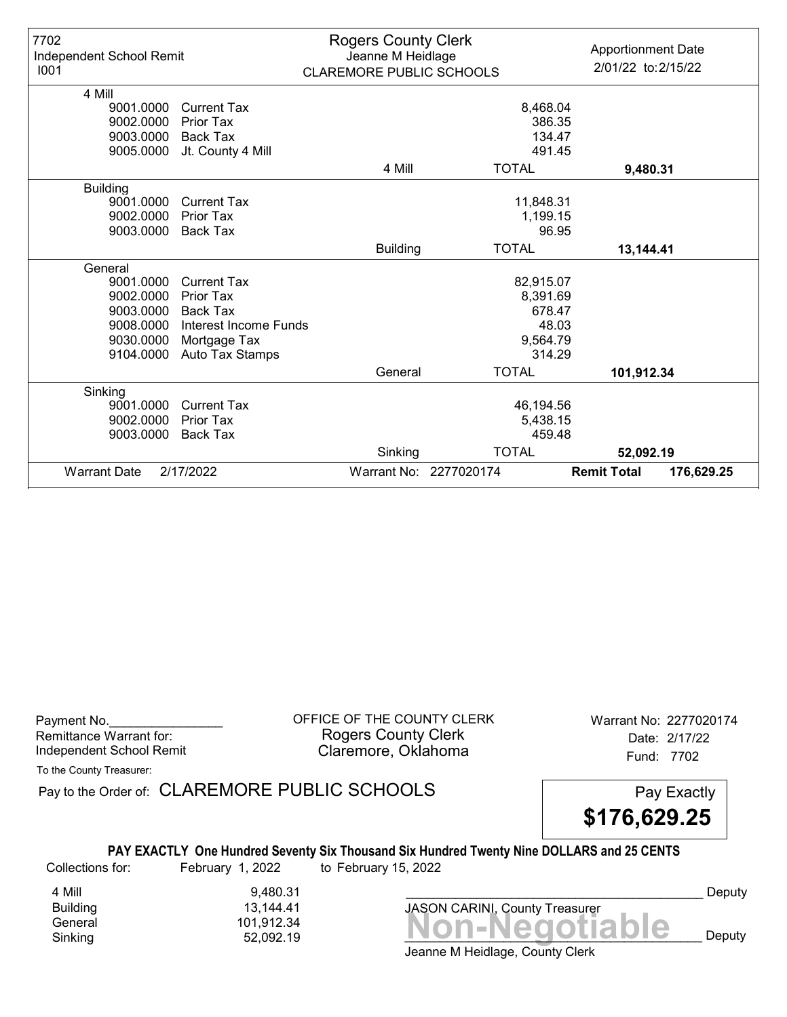| 7702<br>Independent School Remit<br>1001 |                       | <b>Rogers County Clerk</b><br>Jeanne M Heidlage<br><b>CLAREMORE PUBLIC SCHOOLS</b> |                        | <b>Apportionment Date</b><br>2/01/22 to: 2/15/22 |
|------------------------------------------|-----------------------|------------------------------------------------------------------------------------|------------------------|--------------------------------------------------|
| 4 Mill                                   |                       |                                                                                    |                        |                                                  |
| 9001.0000                                | <b>Current Tax</b>    |                                                                                    | 8,468.04               |                                                  |
| 9002.0000                                | <b>Prior Tax</b>      |                                                                                    | 386.35                 |                                                  |
| 9003.0000                                | <b>Back Tax</b>       |                                                                                    | 134.47                 |                                                  |
| 9005.0000                                | Jt. County 4 Mill     |                                                                                    | 491.45                 |                                                  |
|                                          |                       | 4 Mill                                                                             | <b>TOTAL</b>           | 9,480.31                                         |
| <b>Building</b>                          |                       |                                                                                    |                        |                                                  |
| 9001.0000                                | <b>Current Tax</b>    |                                                                                    | 11,848.31              |                                                  |
| 9002.0000                                | Prior Tax             |                                                                                    | 1,199.15               |                                                  |
| 9003.0000                                | <b>Back Tax</b>       |                                                                                    | 96.95                  |                                                  |
|                                          |                       | <b>Building</b>                                                                    | <b>TOTAL</b>           | 13,144.41                                        |
| General                                  |                       |                                                                                    |                        |                                                  |
| 9001.0000                                | <b>Current Tax</b>    |                                                                                    | 82,915.07              |                                                  |
| 9002.0000                                | Prior Tax             |                                                                                    | 8,391.69               |                                                  |
| 9003.0000                                | Back Tax              |                                                                                    | 678.47                 |                                                  |
| 9008.0000                                | Interest Income Funds |                                                                                    | 48.03                  |                                                  |
| 9030.0000                                | Mortgage Tax          |                                                                                    | 9,564.79               |                                                  |
| 9104.0000                                | Auto Tax Stamps       |                                                                                    | 314.29                 |                                                  |
|                                          |                       | General                                                                            | <b>TOTAL</b>           | 101,912.34                                       |
| Sinking                                  |                       |                                                                                    |                        |                                                  |
| 9001.0000                                | <b>Current Tax</b>    |                                                                                    | 46,194.56              |                                                  |
| 9002.0000                                | <b>Prior Tax</b>      |                                                                                    | 5,438.15               |                                                  |
| 9003.0000                                | Back Tax              |                                                                                    | 459.48                 |                                                  |
|                                          |                       | Sinking                                                                            | <b>TOTAL</b>           | 52,092.19                                        |
| <b>Warrant Date</b>                      | 2/17/2022             |                                                                                    | Warrant No: 2277020174 | <b>Remit Total</b><br>176,629.25                 |

Payment No. 2277020174 COUNTY CLERK Warrant No: 2277020174 Rogers County Clerk Date: 2/17/22 Independent School Remit **Claremore, Oklahoma** Fund: 7702

To the County Treasurer:

Pay to the Order of: CLAREMORE PUBLIC SCHOOLS Pay Exactly

\$176,629.25

### PAY EXACTLY One Hundred Seventy Six Thousand Six Hundred Twenty Nine DOLLARS and 25 CENTS

Collections for: February 1, 2022 to February 15, 2022

Banding<br>General 101,912.34<br>Sinking 52,092.19 **Non-Negotiable** Sinking  $52,092.19$   $52,092.19$   $1111100$ 4 Mill 9,480.31<br>Building 13,144.41 Building 13,144.41<br>101.912.34

JASON CARINI, County Treasurer

Deputy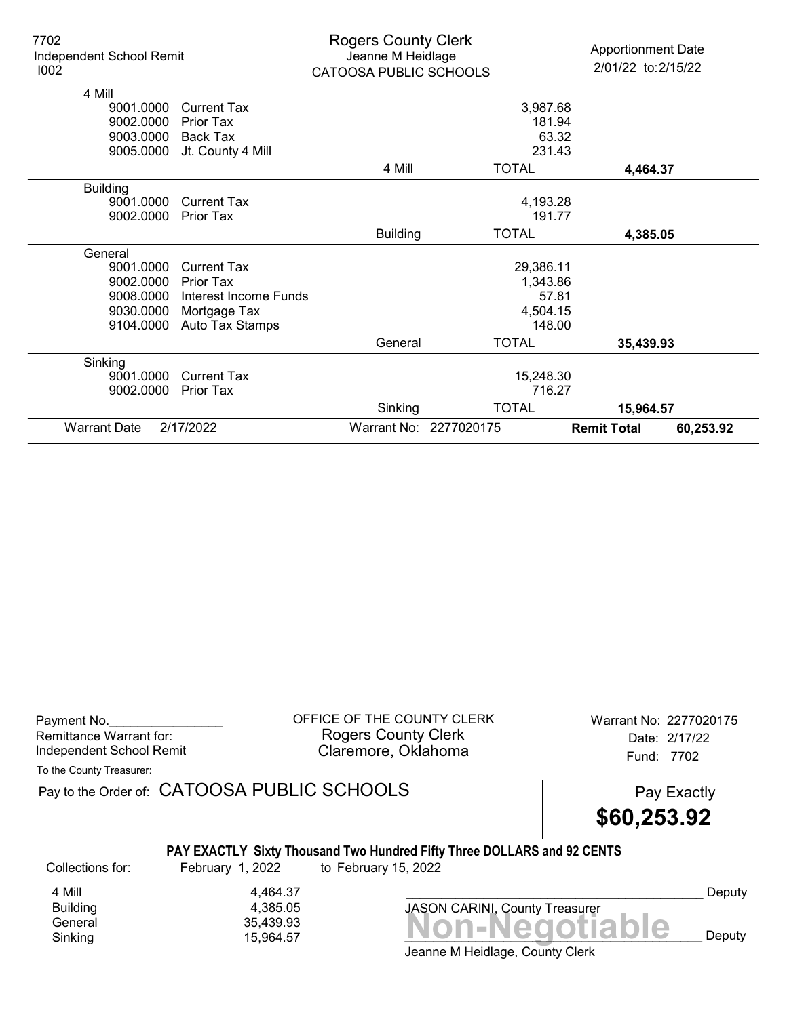| 7702<br>Independent School Remit<br>1002 |                       | <b>Rogers County Clerk</b><br>Jeanne M Heidlage<br>CATOOSA PUBLIC SCHOOLS |                        | <b>Apportionment Date</b><br>2/01/22 to: 2/15/22 |
|------------------------------------------|-----------------------|---------------------------------------------------------------------------|------------------------|--------------------------------------------------|
| 4 Mill                                   |                       |                                                                           |                        |                                                  |
| 9001.0000                                | <b>Current Tax</b>    |                                                                           | 3,987.68               |                                                  |
| 9002.0000                                | Prior Tax             |                                                                           | 181.94                 |                                                  |
| 9003.0000                                | Back Tax              |                                                                           | 63.32                  |                                                  |
| 9005.0000                                | Jt. County 4 Mill     |                                                                           | 231.43                 |                                                  |
|                                          |                       | 4 Mill                                                                    | <b>TOTAL</b>           | 4,464.37                                         |
| <b>Building</b>                          |                       |                                                                           |                        |                                                  |
| 9001.0000                                | <b>Current Tax</b>    |                                                                           | 4,193.28               |                                                  |
| 9002.0000                                | Prior Tax             |                                                                           | 191.77                 |                                                  |
|                                          |                       | <b>Building</b>                                                           | <b>TOTAL</b>           | 4,385.05                                         |
| General                                  |                       |                                                                           |                        |                                                  |
| 9001.0000                                | <b>Current Tax</b>    |                                                                           | 29,386.11              |                                                  |
| 9002.0000                                | <b>Prior Tax</b>      |                                                                           | 1,343.86               |                                                  |
| 9008.0000                                | Interest Income Funds |                                                                           | 57.81                  |                                                  |
| 9030.0000                                | Mortgage Tax          |                                                                           | 4,504.15               |                                                  |
| 9104.0000                                | Auto Tax Stamps       |                                                                           | 148.00                 |                                                  |
|                                          |                       | General                                                                   | <b>TOTAL</b>           | 35,439.93                                        |
| Sinking                                  |                       |                                                                           |                        |                                                  |
| 9001.0000                                | Current Tax           |                                                                           | 15,248.30              |                                                  |
| 9002.0000                                | Prior Tax             |                                                                           | 716.27                 |                                                  |
|                                          |                       | Sinking                                                                   | <b>TOTAL</b>           | 15,964.57                                        |
| <b>Warrant Date</b>                      | 2/17/2022             |                                                                           | Warrant No: 2277020175 | <b>Remit Total</b><br>60,253.92                  |

| Payment No.              |  |
|--------------------------|--|
| Remittance Warrant for:  |  |
| Independent School Remit |  |

OFFICE OF THE COUNTY CLERK Warrant No: 2277020175 Rogers County Clerk Date: 2/17/22 Claremore, Oklahoma<br>
Fund: 7702

To the County Treasurer:

Pay to the Order of: CATOOSA PUBLIC SCHOOLS Pay Exactly

\$60,253.92

# PAY EXACTLY Sixty Thousand Two Hundred Fifty Three DOLLARS and 92 CENTS

Collections for: February 1, 2022 to February 15, 2022

4 Mill 4,464.37<br>Building 4,385.05 Building 4,385.05

Jeanne M Heidlage, County Clerk General 35,439.93<br>General 35,439.93<br>Sinking 15,964.57 **Non-Negotiable** Sinking 15,964.57  $\blacksquare$  15,964.57  $\blacksquare$ 

JASON CARINI, County Treasurer

Deputy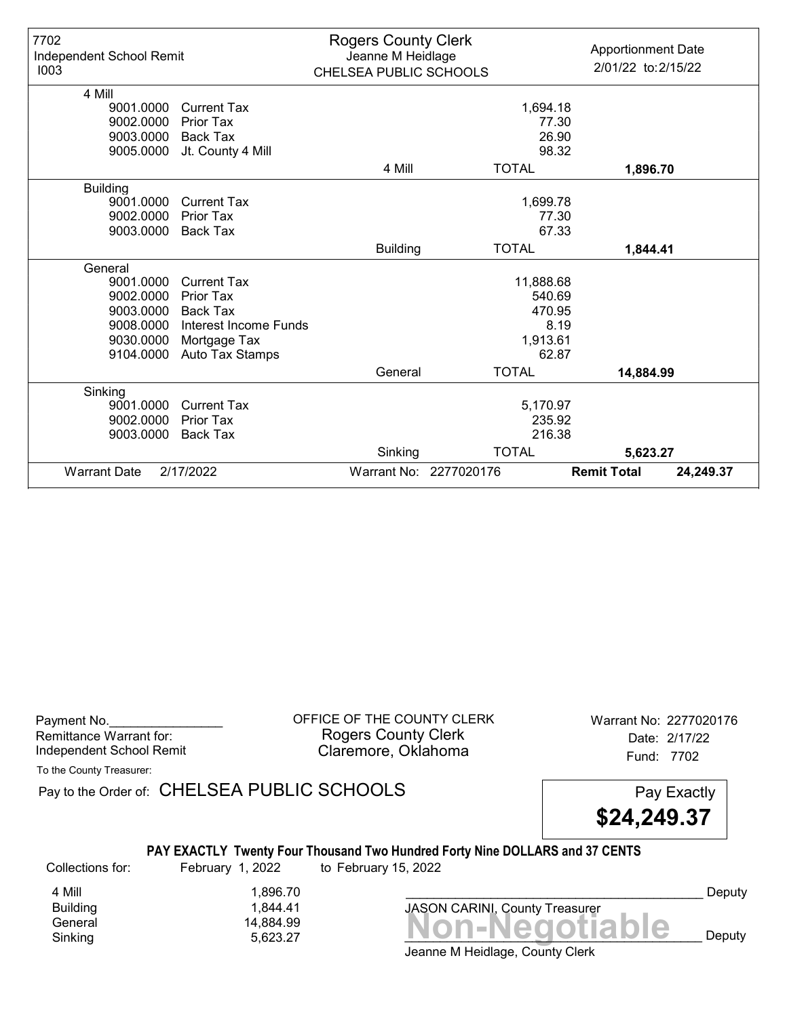| 7702<br>Independent School Remit<br>1003 |                       | <b>Rogers County Clerk</b><br>Jeanne M Heidlage<br>CHELSEA PUBLIC SCHOOLS |                        | <b>Apportionment Date</b><br>2/01/22 to: 2/15/22 |
|------------------------------------------|-----------------------|---------------------------------------------------------------------------|------------------------|--------------------------------------------------|
| 4 Mill                                   |                       |                                                                           |                        |                                                  |
| 9001.0000                                | <b>Current Tax</b>    |                                                                           | 1,694.18               |                                                  |
| 9002.0000                                | Prior Tax             |                                                                           |                        | 77.30                                            |
| 9003.0000                                | <b>Back Tax</b>       |                                                                           |                        | 26.90                                            |
| 9005.0000                                | Jt. County 4 Mill     |                                                                           |                        | 98.32                                            |
|                                          |                       | 4 Mill                                                                    | <b>TOTAL</b>           | 1,896.70                                         |
| <b>Building</b>                          |                       |                                                                           |                        |                                                  |
| 9001.0000                                | <b>Current Tax</b>    |                                                                           | 1,699.78               |                                                  |
| 9002.0000                                | Prior Tax             |                                                                           |                        | 77.30                                            |
| 9003.0000                                | <b>Back Tax</b>       |                                                                           | 67.33                  |                                                  |
|                                          |                       | <b>Building</b>                                                           | <b>TOTAL</b>           | 1,844.41                                         |
| General                                  |                       |                                                                           |                        |                                                  |
| 9001.0000                                | <b>Current Tax</b>    |                                                                           | 11,888.68              |                                                  |
| 9002.0000                                | Prior Tax             |                                                                           | 540.69                 |                                                  |
| 9003.0000                                | Back Tax              |                                                                           | 470.95                 |                                                  |
| 9008.0000                                | Interest Income Funds |                                                                           |                        | 8.19                                             |
| 9030.0000                                | Mortgage Tax          |                                                                           | 1,913.61               |                                                  |
| 9104.0000                                | Auto Tax Stamps       |                                                                           | 62.87                  |                                                  |
|                                          |                       | General                                                                   | <b>TOTAL</b>           | 14,884.99                                        |
| Sinking                                  |                       |                                                                           |                        |                                                  |
| 9001.0000                                | <b>Current Tax</b>    |                                                                           | 5,170.97               |                                                  |
| 9002.0000                                | Prior Tax             |                                                                           | 235.92                 |                                                  |
| 9003.0000                                | <b>Back Tax</b>       |                                                                           | 216.38                 |                                                  |
|                                          |                       | Sinking                                                                   | <b>TOTAL</b>           | 5,623.27                                         |
| <b>Warrant Date</b>                      | 2/17/2022             |                                                                           | Warrant No: 2277020176 | <b>Remit Total</b><br>24,249.37                  |

| Payment No.              |  |
|--------------------------|--|
| Remittance Warrant for:  |  |
| Independent School Remit |  |

OFFICE OF THE COUNTY CLERK Warrant No: 2277020176 Rogers County Clerk Date: 2/17/22 Claremore, Oklahoma<br>
Fund: 7702

To the County Treasurer:

Pay to the Order of: CHELSEA PUBLIC SCHOOLS Pay Exactly

\$24,249.37

# PAY EXACTLY Twenty Four Thousand Two Hundred Forty Nine DOLLARS and 37 CENTS

Collections for: February 1, 2022 to February 15, 2022

4 Mill 1,896.70<br>Building 1,844.41

1,844.41<br>14,884.99

General 14,884.99<br>General 14,884.99 5,623.27 **Non-Negotiable** Sinking  $5,623.27$   $\blacksquare$   $\blacksquare$   $\blacksquare$   $\blacksquare$   $\blacksquare$   $\blacksquare$   $\blacksquare$   $\blacksquare$   $\blacksquare$   $\blacksquare$   $\blacksquare$   $\blacksquare$   $\blacksquare$   $\blacksquare$   $\blacksquare$   $\blacksquare$   $\blacksquare$   $\blacksquare$   $\blacksquare$   $\blacksquare$   $\blacksquare$   $\blacksquare$   $\blacksquare$   $\blacksquare$   $\blacksquare$   $\blacksquare$   $\blacksquare$   $\blacksquare$   $\blacksquare$ JASON CARINI, County Treasurer

Deputy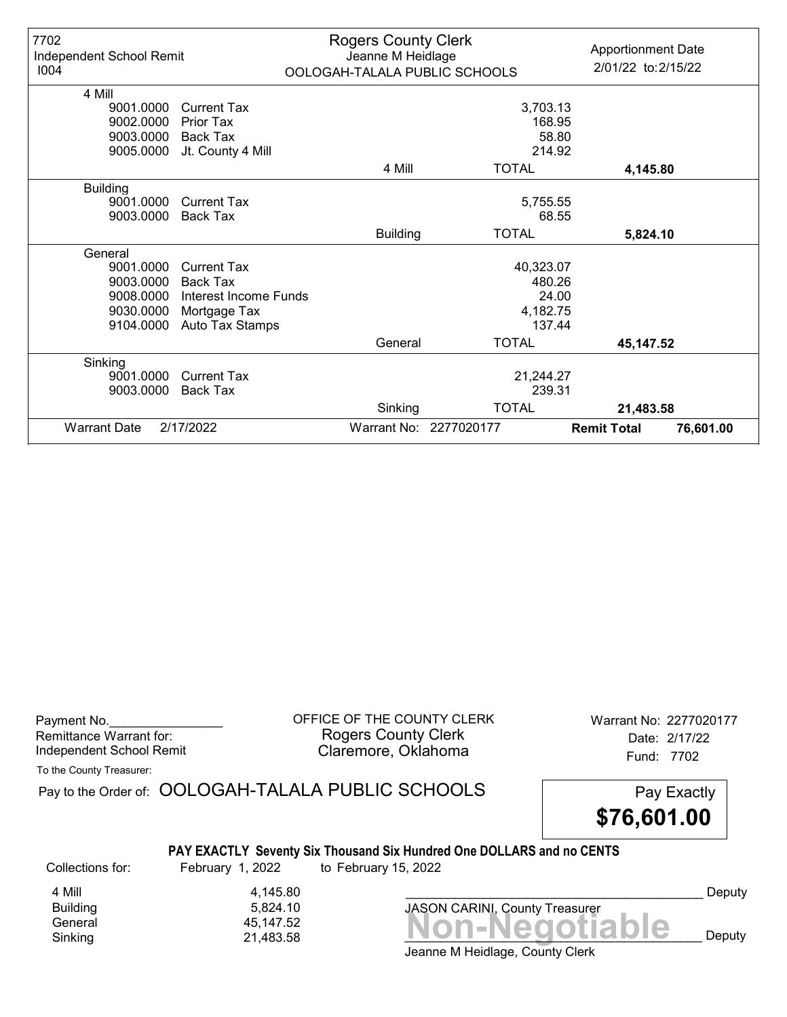| 7702<br>Independent School Remit |                       | <b>Rogers County Clerk</b><br>Jeanne M Heidlage |                               | <b>Apportionment Date</b>       |
|----------------------------------|-----------------------|-------------------------------------------------|-------------------------------|---------------------------------|
| 1004                             |                       |                                                 | OOLOGAH-TALALA PUBLIC SCHOOLS | 2/01/22 to: 2/15/22             |
| 4 Mill                           |                       |                                                 |                               |                                 |
| 9001.0000                        | <b>Current Tax</b>    |                                                 | 3,703.13                      |                                 |
| 9002.0000                        | Prior Tax             |                                                 | 168.95                        |                                 |
| 9003.0000                        | Back Tax              |                                                 | 58.80                         |                                 |
| 9005.0000                        | Jt. County 4 Mill     |                                                 | 214.92                        |                                 |
|                                  |                       | 4 Mill                                          | <b>TOTAL</b>                  | 4,145.80                        |
|                                  |                       |                                                 |                               |                                 |
| <b>Building</b>                  |                       |                                                 |                               |                                 |
| 9001.0000                        | Current Tax           |                                                 | 5,755.55                      |                                 |
| 9003.0000                        | <b>Back Tax</b>       |                                                 | 68.55                         |                                 |
|                                  |                       | <b>Building</b>                                 | <b>TOTAL</b>                  | 5,824.10                        |
| General                          |                       |                                                 |                               |                                 |
| 9001.0000                        | <b>Current Tax</b>    |                                                 | 40,323.07                     |                                 |
| 9003.0000                        | <b>Back Tax</b>       |                                                 | 480.26                        |                                 |
| 9008.0000                        | Interest Income Funds |                                                 | 24.00                         |                                 |
| 9030.0000                        | Mortgage Tax          |                                                 | 4,182.75                      |                                 |
| 9104.0000                        | Auto Tax Stamps       |                                                 | 137.44                        |                                 |
|                                  |                       | General                                         | <b>TOTAL</b>                  | 45,147.52                       |
| Sinking                          |                       |                                                 |                               |                                 |
| 9001.0000                        | <b>Current Tax</b>    |                                                 | 21,244.27                     |                                 |
| 9003.0000                        | Back Tax              |                                                 | 239.31                        |                                 |
|                                  |                       | Sinking                                         | <b>TOTAL</b>                  | 21,483.58                       |
| <b>Warrant Date</b>              | 2/17/2022             |                                                 | Warrant No: 2277020177        | <b>Remit Total</b><br>76,601.00 |

| Payment No.                     |  |
|---------------------------------|--|
| Remittance Warrant for:         |  |
| <b>Independent School Remit</b> |  |

OFFICE OF THE COUNTY CLERK Warrant No: 2277020177 Rogers County Clerk Date: 2/17/22 Claremore, Oklahoma<br>Fund: 7702

To the County Treasurer:

Banding<br>General 45,147.52<br>Sinking 21,483.58 **Non-Negotiable** Pay to the Order of: OOLOGAH-TALALA PUBLIC SCHOOLS Pay Exactly PAY EXACTLY Seventy Six Thousand Six Hundred One DOLLARS and no CENTS \$76,601.00 Collections for: February 1, 2022 to February 15, 2022 JASON CARINI, County Treasurer 4 Mill 4,145.80<br>Building 5,824.10 Building 5,824.10 Deputy

Jeanne M Heidlage, County Clerk Sinking 21,483.58  $\blacksquare$  21,483.58  $\blacksquare$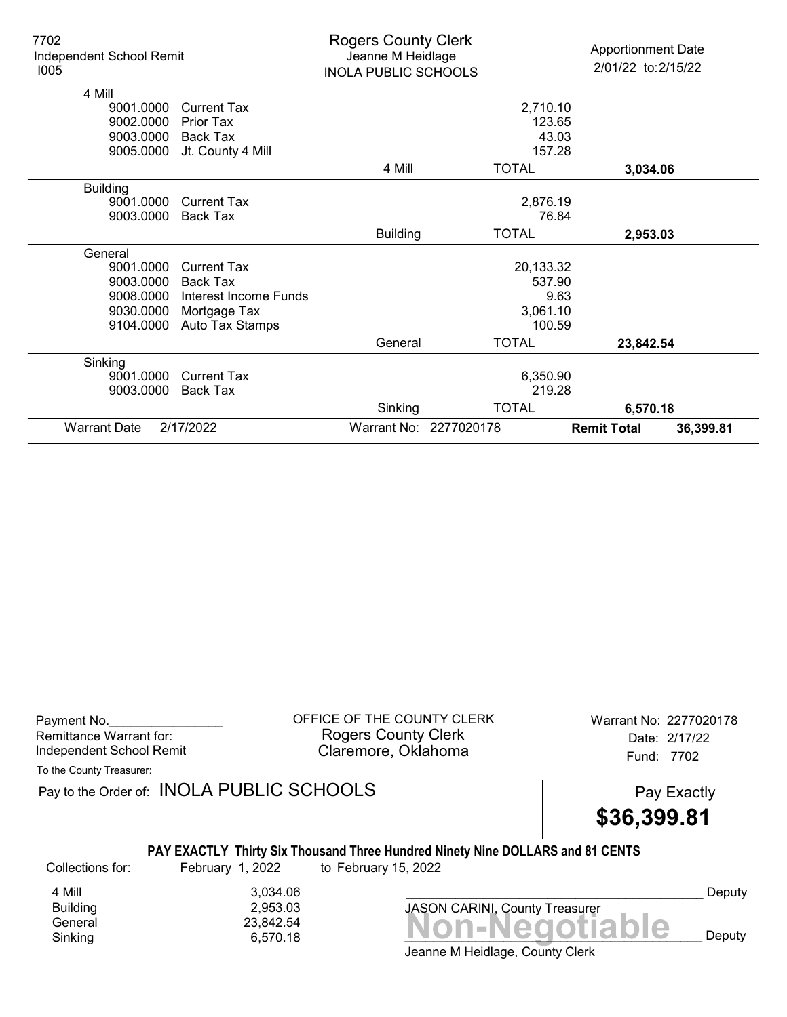| 7702<br>Independent School Remit<br>1005 |                       | <b>Rogers County Clerk</b><br>Jeanne M Heidlage<br><b>INOLA PUBLIC SCHOOLS</b> |                        | <b>Apportionment Date</b><br>2/01/22 to: 2/15/22 |           |
|------------------------------------------|-----------------------|--------------------------------------------------------------------------------|------------------------|--------------------------------------------------|-----------|
| 4 Mill                                   |                       |                                                                                |                        |                                                  |           |
| 9001.0000                                | Current Tax           |                                                                                | 2,710.10               |                                                  |           |
| 9002.0000                                | Prior Tax             |                                                                                | 123.65                 |                                                  |           |
| 9003.0000                                | Back Tax              |                                                                                | 43.03                  |                                                  |           |
| 9005.0000                                | Jt. County 4 Mill     |                                                                                | 157.28                 |                                                  |           |
|                                          |                       | 4 Mill                                                                         | <b>TOTAL</b>           | 3,034.06                                         |           |
| <b>Building</b>                          |                       |                                                                                |                        |                                                  |           |
| 9001.0000                                | <b>Current Tax</b>    |                                                                                | 2,876.19               |                                                  |           |
| 9003.0000                                | <b>Back Tax</b>       |                                                                                | 76.84                  |                                                  |           |
|                                          |                       | <b>Building</b>                                                                | <b>TOTAL</b>           | 2,953.03                                         |           |
| General                                  |                       |                                                                                |                        |                                                  |           |
| 9001.0000                                | <b>Current Tax</b>    |                                                                                | 20,133.32              |                                                  |           |
| 9003.0000                                | <b>Back Tax</b>       |                                                                                | 537.90                 |                                                  |           |
| 9008.0000                                | Interest Income Funds |                                                                                | 9.63                   |                                                  |           |
| 9030.0000                                | Mortgage Tax          |                                                                                | 3,061.10               |                                                  |           |
| 9104.0000                                | Auto Tax Stamps       |                                                                                | 100.59                 |                                                  |           |
|                                          |                       | General                                                                        | <b>TOTAL</b>           | 23,842.54                                        |           |
| Sinking                                  |                       |                                                                                |                        |                                                  |           |
| 9001.0000                                | <b>Current Tax</b>    |                                                                                | 6,350.90               |                                                  |           |
| 9003.0000                                | Back Tax              |                                                                                | 219.28                 |                                                  |           |
|                                          |                       | Sinking                                                                        | <b>TOTAL</b>           | 6,570.18                                         |           |
| <b>Warrant Date</b>                      | 2/17/2022             |                                                                                | Warrant No: 2277020178 | <b>Remit Total</b>                               | 36,399.81 |

| Payment No.              |  |
|--------------------------|--|
| Remittance Warrant for:  |  |
| Independent School Remit |  |

OFFICE OF THE COUNTY CLERK Warrant No: 2277020178 Rogers County Clerk Date: 2/17/22 Claremore, Oklahoma<br>
Fund: 7702

To the County Treasurer:

Pay to the Order of: INOLA PUBLIC SCHOOLS Pay Exactly



# PAY EXACTLY Thirty Six Thousand Three Hundred Ninety Nine DOLLARS and 81 CENTS

Collections for: February 1, 2022 to February 15, 2022

4 Mill 3,034.06<br>Building 2,953.03 Building 2,953.03

Banding<br>General 23,842.54<br>Sinking 6,570.18 **Non-Negotiable** Sinking  $6,570.18$   $\blacksquare$   $\blacksquare$   $\blacksquare$   $\blacksquare$   $\blacksquare$   $\blacksquare$   $\blacksquare$   $\blacksquare$   $\blacksquare$   $\blacksquare$   $\blacksquare$   $\blacksquare$   $\blacksquare$   $\blacksquare$   $\blacksquare$   $\blacksquare$   $\blacksquare$   $\blacksquare$   $\blacksquare$   $\blacksquare$   $\blacksquare$   $\blacksquare$   $\blacksquare$   $\blacksquare$   $\blacksquare$   $\blacksquare$   $\blacksquare$   $\blacksquare$   $\blacksquare$ JASON CARINI, County Treasurer

Deputy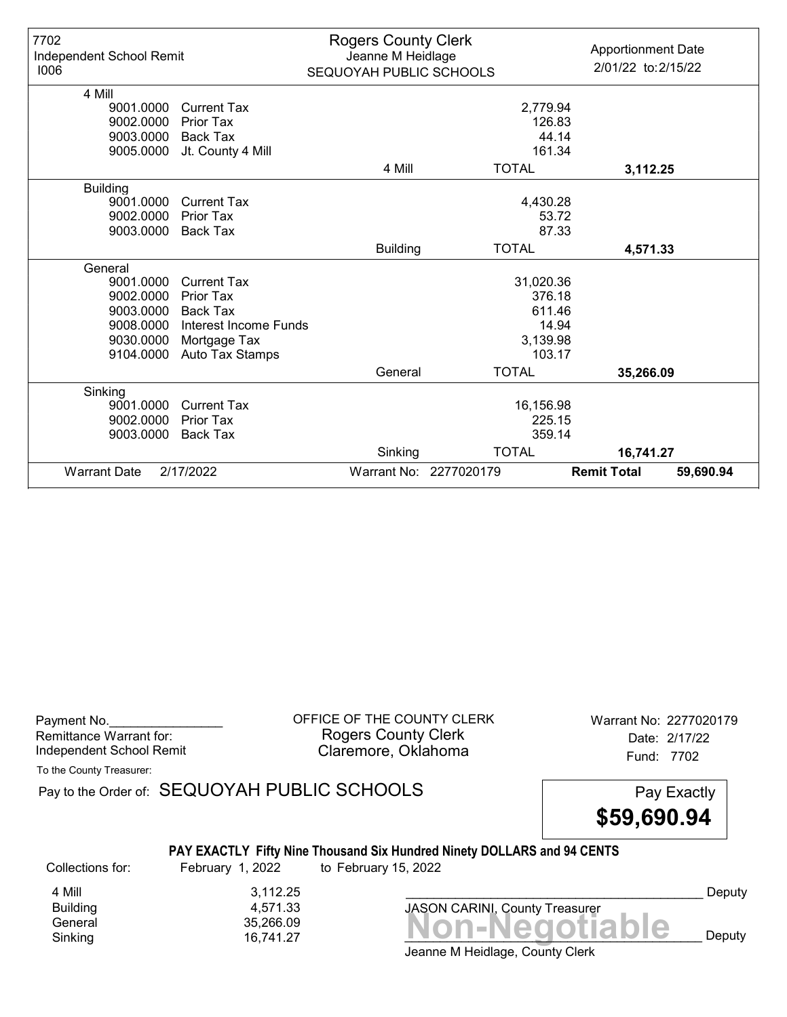| 7702<br>Independent School Remit<br>1006 |                       | <b>Rogers County Clerk</b><br>Jeanne M Heidlage<br>SEQUOYAH PUBLIC SCHOOLS |                        | <b>Apportionment Date</b><br>2/01/22 to: 2/15/22 |
|------------------------------------------|-----------------------|----------------------------------------------------------------------------|------------------------|--------------------------------------------------|
| 4 Mill                                   |                       |                                                                            |                        |                                                  |
| 9001.0000                                | <b>Current Tax</b>    |                                                                            | 2,779.94               |                                                  |
| 9002.0000                                | Prior Tax             |                                                                            | 126.83                 |                                                  |
| 9003.0000                                | <b>Back Tax</b>       |                                                                            | 44.14                  |                                                  |
| 9005.0000                                | Jt. County 4 Mill     |                                                                            | 161.34                 |                                                  |
|                                          |                       | 4 Mill                                                                     | <b>TOTAL</b>           | 3,112.25                                         |
| <b>Building</b>                          |                       |                                                                            |                        |                                                  |
| 9001.0000                                | <b>Current Tax</b>    |                                                                            | 4,430.28               |                                                  |
| 9002.0000                                | Prior Tax             |                                                                            | 53.72                  |                                                  |
| 9003.0000                                | Back Tax              |                                                                            | 87.33                  |                                                  |
|                                          |                       | <b>Building</b>                                                            | <b>TOTAL</b>           | 4,571.33                                         |
| General                                  |                       |                                                                            |                        |                                                  |
| 9001.0000                                | <b>Current Tax</b>    |                                                                            | 31,020.36              |                                                  |
| 9002.0000                                | Prior Tax             |                                                                            | 376.18                 |                                                  |
| 9003.0000                                | Back Tax              |                                                                            | 611.46                 |                                                  |
| 9008.0000                                | Interest Income Funds |                                                                            | 14.94                  |                                                  |
| 9030.0000                                | Mortgage Tax          |                                                                            | 3,139.98               |                                                  |
| 9104.0000                                | Auto Tax Stamps       |                                                                            | 103.17                 |                                                  |
|                                          |                       | General                                                                    | <b>TOTAL</b>           | 35,266.09                                        |
| Sinking                                  |                       |                                                                            |                        |                                                  |
| 9001.0000                                | <b>Current Tax</b>    |                                                                            | 16,156.98              |                                                  |
| 9002.0000                                | Prior Tax             |                                                                            | 225.15                 |                                                  |
| 9003.0000                                | <b>Back Tax</b>       |                                                                            | 359.14                 |                                                  |
|                                          |                       | Sinking                                                                    | <b>TOTAL</b>           | 16,741.27                                        |
| <b>Warrant Date</b>                      | 2/17/2022             |                                                                            | Warrant No: 2277020179 | <b>Remit Total</b><br>59,690.94                  |

| Payment No.              |  |
|--------------------------|--|
| Remittance Warrant for:  |  |
| Independent School Remit |  |

OFFICE OF THE COUNTY CLERK Warrant No: 2277020179 Rogers County Clerk Date: 2/17/22 Claremore, Oklahoma<br>
Fund: 7702

To the County Treasurer:

Pay to the Order of: SEQUOYAH PUBLIC SCHOOLS Pay Exactly



# PAY EXACTLY Fifty Nine Thousand Six Hundred Ninety DOLLARS and 94 CENTS

Collections for: February 1, 2022 to February 15, 2022

4 Mill 3,112.25<br>Building 3,112.25 Building 4,571.33

Jeanne M Heidlage, County Clerk General 35,266.09<br>General 35,266.09 16,741.27 Non-Negotiable Sinking 16,741.27  $\blacksquare$   $\blacksquare$   $\blacksquare$   $\blacksquare$   $\blacksquare$   $\blacksquare$   $\blacksquare$   $\blacksquare$   $\blacksquare$   $\blacksquare$   $\blacksquare$   $\blacksquare$   $\blacksquare$   $\blacksquare$   $\blacksquare$   $\blacksquare$   $\blacksquare$   $\blacksquare$   $\blacksquare$   $\blacksquare$   $\blacksquare$   $\blacksquare$   $\blacksquare$   $\blacksquare$   $\blacksquare$   $\blacksquare$   $\blacksquare$   $\blacksquare$   $\blacksquare$ 

JASON CARINI, County Treasurer

Deputy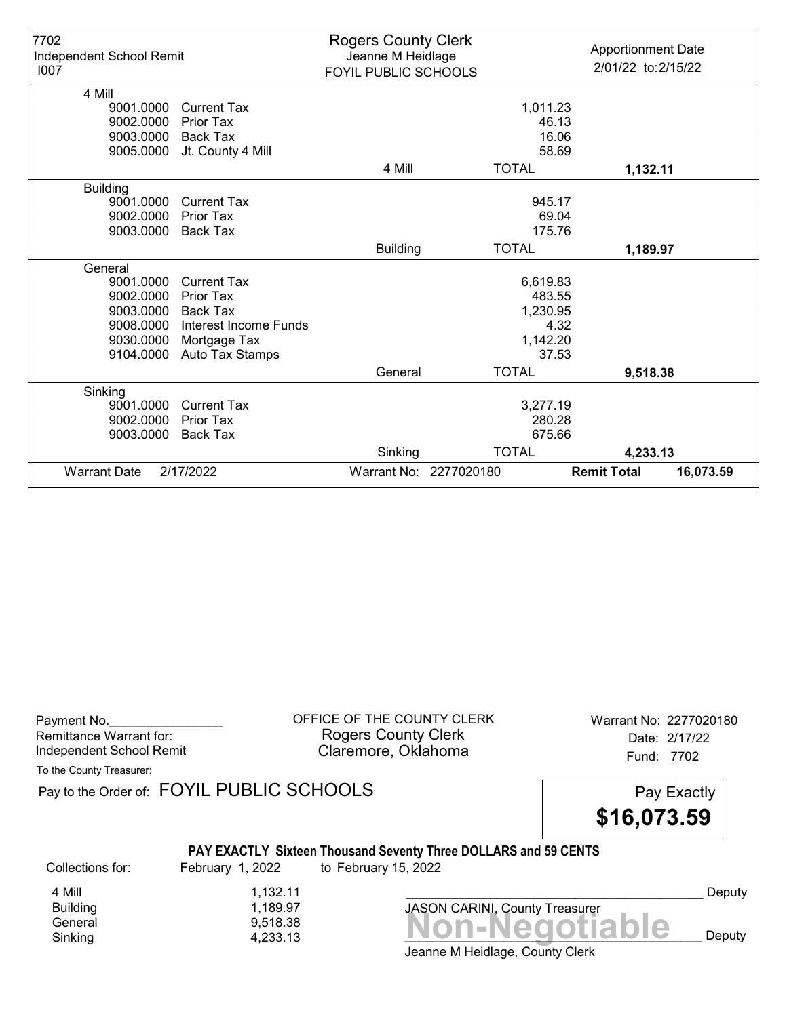| 7702<br>Independent School Remit<br>1007 |                       | <b>Rogers County Clerk</b><br>Jeanne M Heidlage<br>FOYIL PUBLIC SCHOOLS |                        | <b>Apportionment Date</b><br>2/01/22 to: 2/15/22 |
|------------------------------------------|-----------------------|-------------------------------------------------------------------------|------------------------|--------------------------------------------------|
| 4 Mill                                   |                       |                                                                         |                        |                                                  |
| 9001.0000                                | <b>Current Tax</b>    |                                                                         | 1,011.23               |                                                  |
| 9002.0000                                | <b>Prior Tax</b>      |                                                                         | 46.13                  |                                                  |
| 9003.0000                                | <b>Back Tax</b>       |                                                                         | 16.06                  |                                                  |
| 9005.0000                                | Jt. County 4 Mill     |                                                                         | 58.69                  |                                                  |
|                                          |                       | 4 Mill                                                                  | <b>TOTAL</b>           | 1,132.11                                         |
| <b>Building</b>                          |                       |                                                                         |                        |                                                  |
| 9001.0000                                | <b>Current Tax</b>    |                                                                         | 945.17                 |                                                  |
| 9002.0000                                | Prior Tax             |                                                                         | 69.04                  |                                                  |
| 9003.0000                                | <b>Back Tax</b>       |                                                                         | 175.76                 |                                                  |
|                                          |                       | <b>Building</b>                                                         | <b>TOTAL</b>           | 1,189.97                                         |
| General                                  |                       |                                                                         |                        |                                                  |
| 9001.0000                                | <b>Current Tax</b>    |                                                                         | 6,619.83               |                                                  |
| 9002.0000                                | Prior Tax             |                                                                         | 483.55                 |                                                  |
| 9003.0000                                | Back Tax              |                                                                         | 1,230.95               |                                                  |
| 9008.0000                                | Interest Income Funds |                                                                         |                        | 4.32                                             |
| 9030.0000                                | Mortgage Tax          |                                                                         | 1,142.20               |                                                  |
| 9104.0000                                | Auto Tax Stamps       |                                                                         | 37.53                  |                                                  |
|                                          |                       | General                                                                 | <b>TOTAL</b>           | 9,518.38                                         |
| Sinking                                  |                       |                                                                         |                        |                                                  |
| 9001.0000                                | <b>Current Tax</b>    |                                                                         | 3,277.19               |                                                  |
| 9002.0000                                | Prior Tax             |                                                                         | 280.28                 |                                                  |
| 9003.0000                                | <b>Back Tax</b>       |                                                                         | 675.66                 |                                                  |
|                                          |                       | Sinking                                                                 | <b>TOTAL</b>           | 4,233.13                                         |
| <b>Warrant Date</b>                      | 2/17/2022             |                                                                         | Warrant No: 2277020180 | <b>Remit Total</b><br>16,073.59                  |

| Payment No.<br>Remittance Warrant for:<br>Independent School Remit<br>To the County Treasurer: |                                              | OFFICE OF THE COUNTY CLERK<br><b>Rogers County Clerk</b><br>Claremore, Oklahoma         | Warrant No: 2277020180<br>Date: 2/17/22<br>Fund: 7702 |
|------------------------------------------------------------------------------------------------|----------------------------------------------|-----------------------------------------------------------------------------------------|-------------------------------------------------------|
|                                                                                                | Pay to the Order of: FOYIL PUBLIC SCHOOLS    |                                                                                         | Pay Exactly<br>\$16,073.59                            |
| Collections for:                                                                               | February 1, 2022                             | PAY EXACTLY Sixteen Thousand Seventy Three DOLLARS and 59 CENTS<br>to February 15, 2022 |                                                       |
| 4 Mill<br><b>Building</b><br>General<br>Sinking                                                | 1,132.11<br>1,189.97<br>9,518.38<br>4,233.13 | JASON CARINI, County Treasurer<br>Jeanne M Heidlage. County Clerk.                      | Deputy<br><b>Non-Negotiable</b><br>Deputy             |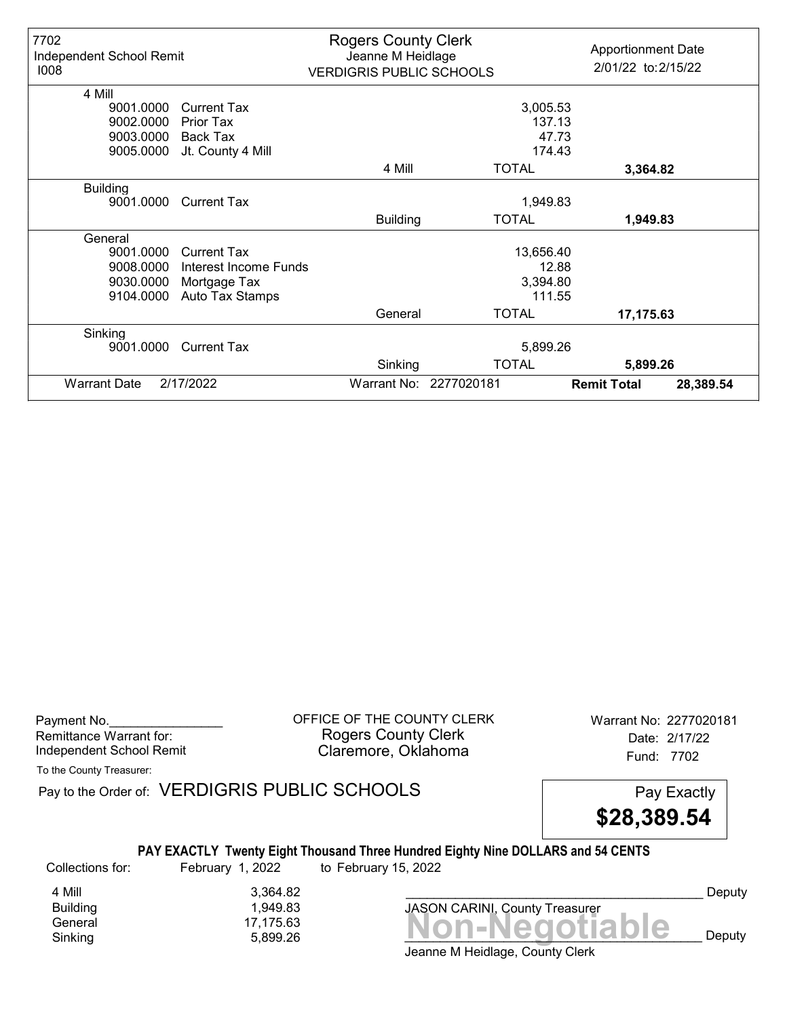| 7702<br>Independent School Remit<br>1008 |                       | <b>Rogers County Clerk</b><br>Jeanne M Heidlage<br><b>VERDIGRIS PUBLIC SCHOOLS</b> |                        | <b>Apportionment Date</b><br>2/01/22 to: 2/15/22 |           |
|------------------------------------------|-----------------------|------------------------------------------------------------------------------------|------------------------|--------------------------------------------------|-----------|
| 4 Mill                                   |                       |                                                                                    |                        |                                                  |           |
| 9001.0000                                | Current Tax           |                                                                                    | 3,005.53               |                                                  |           |
| 9002.0000                                | Prior Tax             |                                                                                    | 137.13                 |                                                  |           |
| 9003.0000                                | Back Tax              |                                                                                    | 47.73                  |                                                  |           |
| 9005.0000                                | Jt. County 4 Mill     |                                                                                    | 174.43                 |                                                  |           |
|                                          |                       | 4 Mill                                                                             | <b>TOTAL</b>           | 3,364.82                                         |           |
| <b>Building</b>                          |                       |                                                                                    |                        |                                                  |           |
| 9001.0000                                | <b>Current Tax</b>    |                                                                                    | 1,949.83               |                                                  |           |
|                                          |                       | <b>Building</b>                                                                    | TOTAL                  | 1,949.83                                         |           |
| General                                  |                       |                                                                                    |                        |                                                  |           |
| 9001.0000                                | <b>Current Tax</b>    |                                                                                    | 13,656.40              |                                                  |           |
| 9008.0000                                | Interest Income Funds |                                                                                    | 12.88                  |                                                  |           |
| 9030.0000                                | Mortgage Tax          |                                                                                    | 3,394.80               |                                                  |           |
| 9104.0000                                | Auto Tax Stamps       |                                                                                    | 111.55                 |                                                  |           |
|                                          |                       | General                                                                            | <b>TOTAL</b>           | 17,175.63                                        |           |
| Sinking                                  |                       |                                                                                    |                        |                                                  |           |
| 9001.0000                                | <b>Current Tax</b>    |                                                                                    | 5,899.26               |                                                  |           |
|                                          |                       | Sinking                                                                            | <b>TOTAL</b>           | 5,899.26                                         |           |
| <b>Warrant Date</b>                      | 2/17/2022             |                                                                                    | Warrant No: 2277020181 | <b>Remit Total</b>                               | 28,389.54 |

Payment No. 2277020181 COUNTY CLERK Warrant No: 2277020181 Rogers County Clerk Date: 2/17/22 Independent School Remit **Claremore, Oklahoma** Fund: 7702

To the County Treasurer:

Pay to the Order of: VERDIGRIS PUBLIC SCHOOLS Pay Exactly



# PAY EXACTLY Twenty Eight Thousand Three Hundred Eighty Nine DOLLARS and 54 CENTS

Collections for: February 1, 2022 to February 15, 2022

Seneral 17,175.63<br>General 17,175.63 **Non-Negotiable** Sinking  $5,899.26$   $\blacksquare$   $\blacksquare$   $\blacksquare$   $\blacksquare$   $\blacksquare$   $\blacksquare$   $\blacksquare$   $\blacksquare$   $\blacksquare$   $\blacksquare$   $\blacksquare$   $\blacksquare$   $\blacksquare$   $\blacksquare$   $\blacksquare$   $\blacksquare$   $\blacksquare$   $\blacksquare$   $\blacksquare$   $\blacksquare$   $\blacksquare$   $\blacksquare$   $\blacksquare$   $\blacksquare$   $\blacksquare$   $\blacksquare$   $\blacksquare$   $\blacksquare$   $\blacksquare$ 4 Mill 3,364.82<br>Building 3,364.82 1,949.83<br>17,175.63

JASON CARINI, County Treasurer

Deputy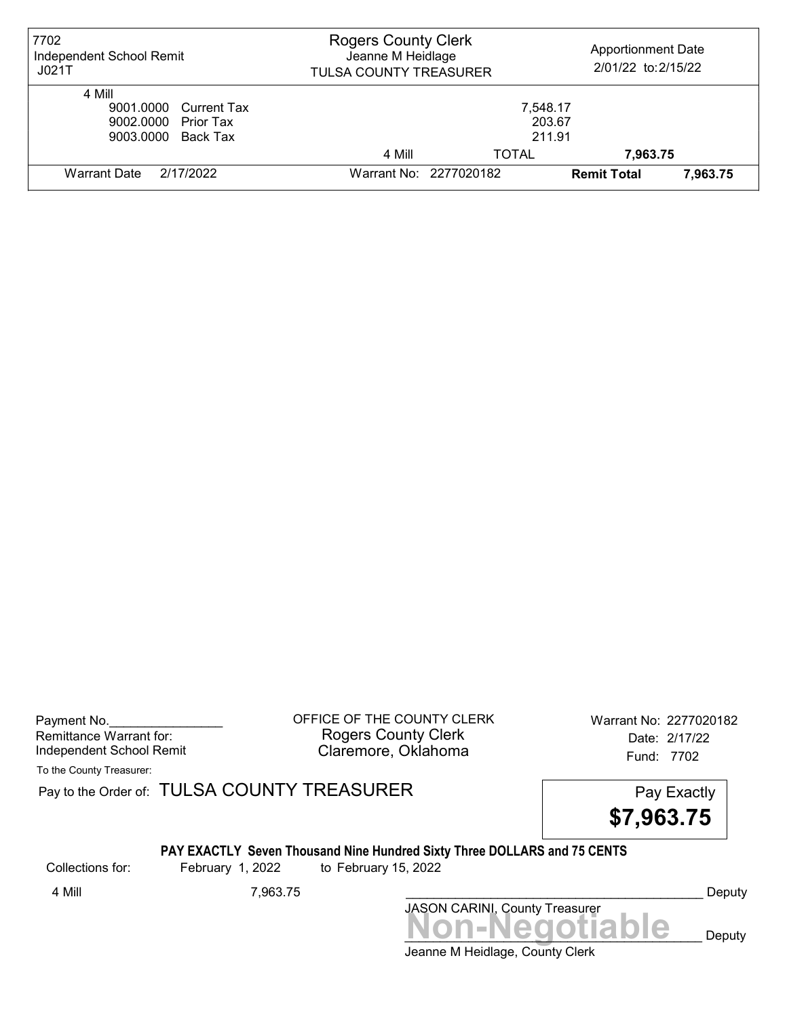| 7702<br>Independent School Remit<br>JO21T                                    | <b>Rogers County Clerk</b><br>Jeanne M Heidlage<br><b>TULSA COUNTY TREASURER</b> |                              | <b>Apportionment Date</b><br>2/01/22 to: 2/15/22 |          |
|------------------------------------------------------------------------------|----------------------------------------------------------------------------------|------------------------------|--------------------------------------------------|----------|
| 4 Mill<br>9001.0000 Current Tax<br>9002.0000 Prior Tax<br>9003.0000 Back Tax |                                                                                  | 7,548.17<br>203.67<br>211.91 |                                                  |          |
|                                                                              | 4 Mill                                                                           | <b>TOTAL</b>                 | 7,963.75                                         |          |
| Warrant Date<br>2/17/2022                                                    |                                                                                  | Warrant No: 2277020182       | <b>Remit Total</b>                               | 7.963.75 |

Payment No. 2277020182 Rogers County Clerk Date: 2/17/22 Independent School Remit Claremore, Oklahoma Fund: 7702

To the County Treasurer:

Pay to the Order of: TULSA COUNTY TREASURER Pay to the Order of: TULSA COUNTY TREASURER

\$7,963.75

# PAY EXACTLY Seven Thousand Nine Hundred Sixty Three DOLLARS and 75 CENTS

Collections for: February 1, 2022 to February 15, 2022

Jeanne M Heidlage, County Clerk Non-Negotiable Deputy JASON CARINI, County Treasurer 4 Mill 7,963.75 \_\_\_\_\_\_\_\_\_\_\_\_\_\_\_\_\_\_\_\_\_\_\_\_\_\_\_\_\_\_\_\_\_\_\_\_\_\_\_\_\_\_ Deputy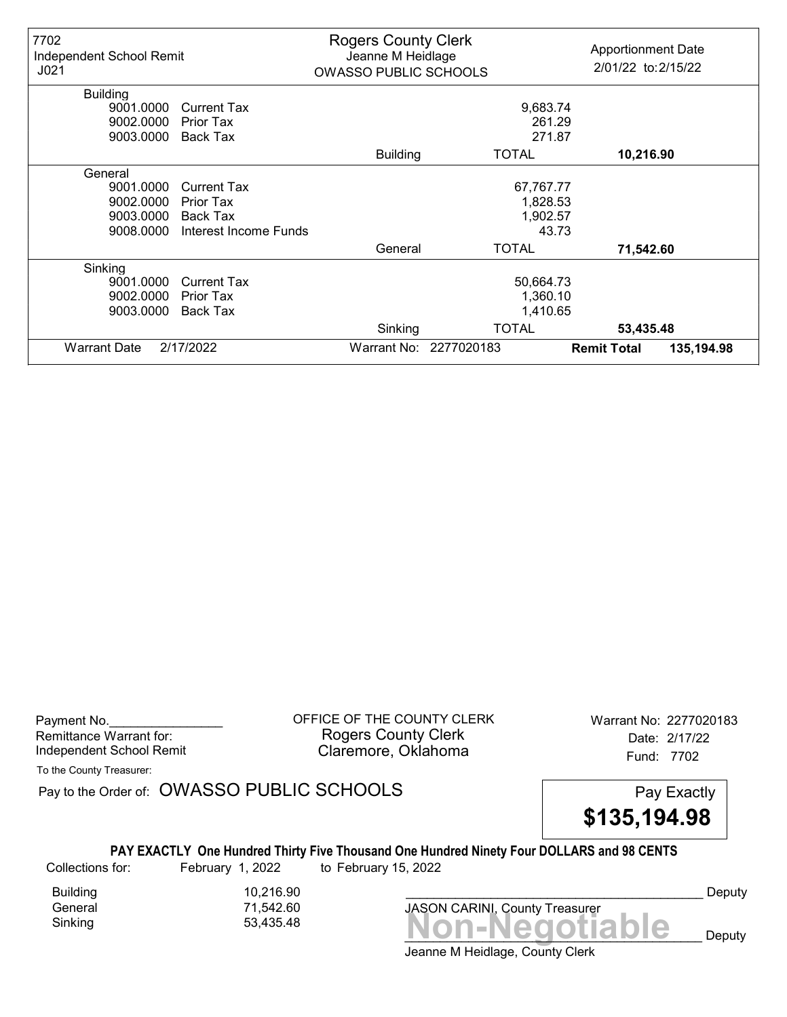| 7702<br>Independent School Remit<br>J <sub>021</sub> |                       | <b>Rogers County Clerk</b><br>Jeanne M Heidlage<br><b>OWASSO PUBLIC SCHOOLS</b> |                        | <b>Apportionment Date</b><br>2/01/22 to: 2/15/22 |            |
|------------------------------------------------------|-----------------------|---------------------------------------------------------------------------------|------------------------|--------------------------------------------------|------------|
| <b>Building</b>                                      |                       |                                                                                 |                        |                                                  |            |
| 9001.0000                                            | <b>Current Tax</b>    |                                                                                 | 9,683.74               |                                                  |            |
| 9002.0000                                            | <b>Prior Tax</b>      |                                                                                 | 261.29                 |                                                  |            |
| 9003.0000                                            | Back Tax              |                                                                                 | 271.87                 |                                                  |            |
|                                                      |                       | <b>Building</b>                                                                 | <b>TOTAL</b>           | 10,216.90                                        |            |
| General                                              |                       |                                                                                 |                        |                                                  |            |
| 9001.0000                                            | <b>Current Tax</b>    |                                                                                 | 67,767.77              |                                                  |            |
| 9002.0000                                            | Prior Tax             |                                                                                 | 1,828.53               |                                                  |            |
| 9003.0000                                            | Back Tax              |                                                                                 | 1,902.57               |                                                  |            |
| 9008.0000                                            | Interest Income Funds |                                                                                 | 43.73                  |                                                  |            |
|                                                      |                       | General                                                                         | <b>TOTAL</b>           | 71,542.60                                        |            |
| Sinking                                              |                       |                                                                                 |                        |                                                  |            |
| 9001.0000                                            | <b>Current Tax</b>    |                                                                                 | 50,664.73              |                                                  |            |
| 9002.0000                                            | <b>Prior Tax</b>      |                                                                                 | 1,360.10               |                                                  |            |
| 9003.0000                                            | Back Tax              |                                                                                 | 1,410.65               |                                                  |            |
|                                                      |                       | Sinking                                                                         | <b>TOTAL</b>           | 53,435.48                                        |            |
| <b>Warrant Date</b>                                  | 2/17/2022             |                                                                                 | Warrant No: 2277020183 | <b>Remit Total</b>                               | 135,194.98 |

Payment No. 2277020183 Rogers County Clerk Date: 2/17/22 Independent School Remit **Claremore, Oklahoma** Fund: 7702

To the County Treasurer:

Pay to the Order of: OWASSO PUBLIC SCHOOLS Pay Exactly



### PAY EXACTLY One Hundred Thirty Five Thousand One Hundred Ninety Four DOLLARS and 98 CENTS

Collections for: February 1, 2022 to February 15, 2022

Sinking 53,435.48 **Non-Negotiable** Building 10,216.90<br>General 71,542.60

71,542.60

JASON CARINI, County Treasurer

Deputy

 $\mathbf{e}$  Deputy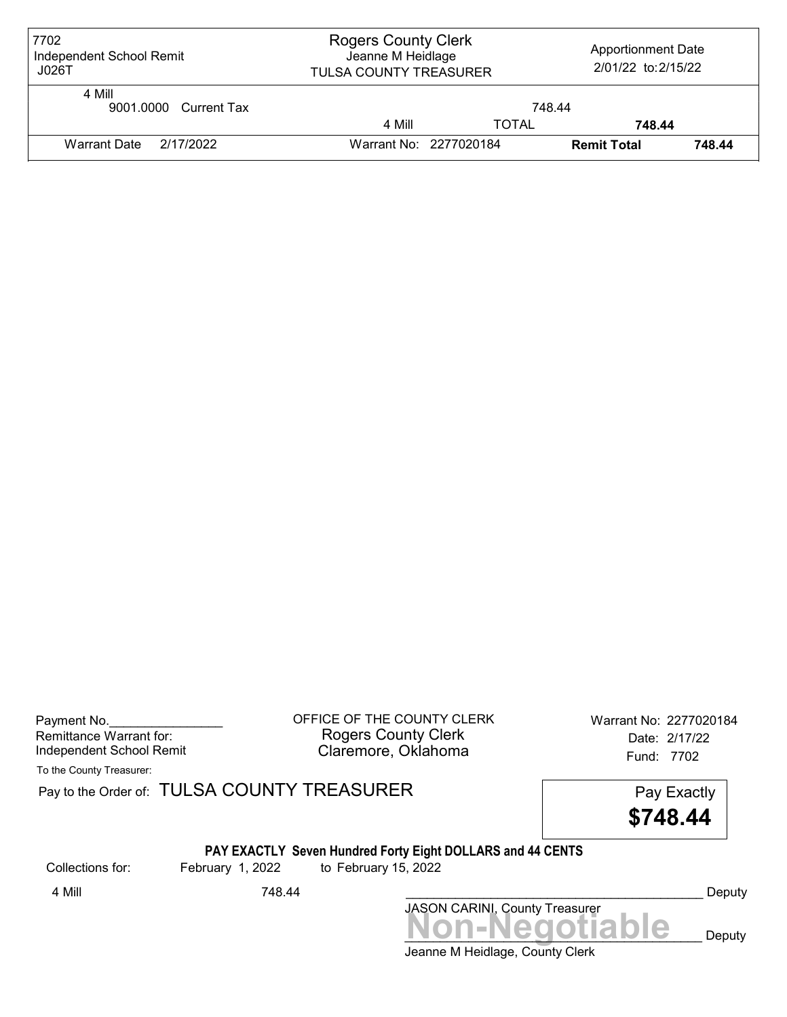| <b>Rogers County Clerk</b><br>7702<br>Jeanne M Heidlage<br>Independent School Remit<br>J026T<br><b>TULSA COUNTY TREASURER</b> |                        | <b>Apportionment Date</b><br>2/01/22 to: 2/15/22 |                    |        |
|-------------------------------------------------------------------------------------------------------------------------------|------------------------|--------------------------------------------------|--------------------|--------|
| 4 Mill<br>9001.0000 Current Tax                                                                                               |                        | 748.44                                           |                    |        |
|                                                                                                                               | 4 Mill                 | <b>TOTAL</b>                                     | 748.44             |        |
| Warrant Date 2/17/2022                                                                                                        | Warrant No: 2277020184 |                                                  | <b>Remit Total</b> | 748.44 |

| Payment No.                     |  |
|---------------------------------|--|
| Remittance Warrant for:         |  |
| <b>Independent School Remit</b> |  |

OFFICE OF THE COUNTY CLERK Warrant No: 2277020184 Rogers County Clerk Date: 2/17/22 Claremore, Oklahoma<br>
Fund: 7702

To the County Treasurer:

Pay to the Order of: TULSA COUNTY TREASURER Pay to the Order of: TULSA COUNTY TREASURER

\$748.44

### PAY EXACTLY Seven Hundred Forty Eight DOLLARS and 44 CENTS

Collections for: February 1, 2022 to February 15, 2022

4 Mill 748.44 \_\_\_\_\_\_\_\_\_\_\_\_\_\_\_\_\_\_\_\_\_\_\_\_\_\_\_\_\_\_\_\_\_\_\_\_\_\_\_\_\_\_ Deputy

Jeanne M Heidlage, County Clerk JASON CARINI, County Treasurer<br>
MON-Negotiable Deputy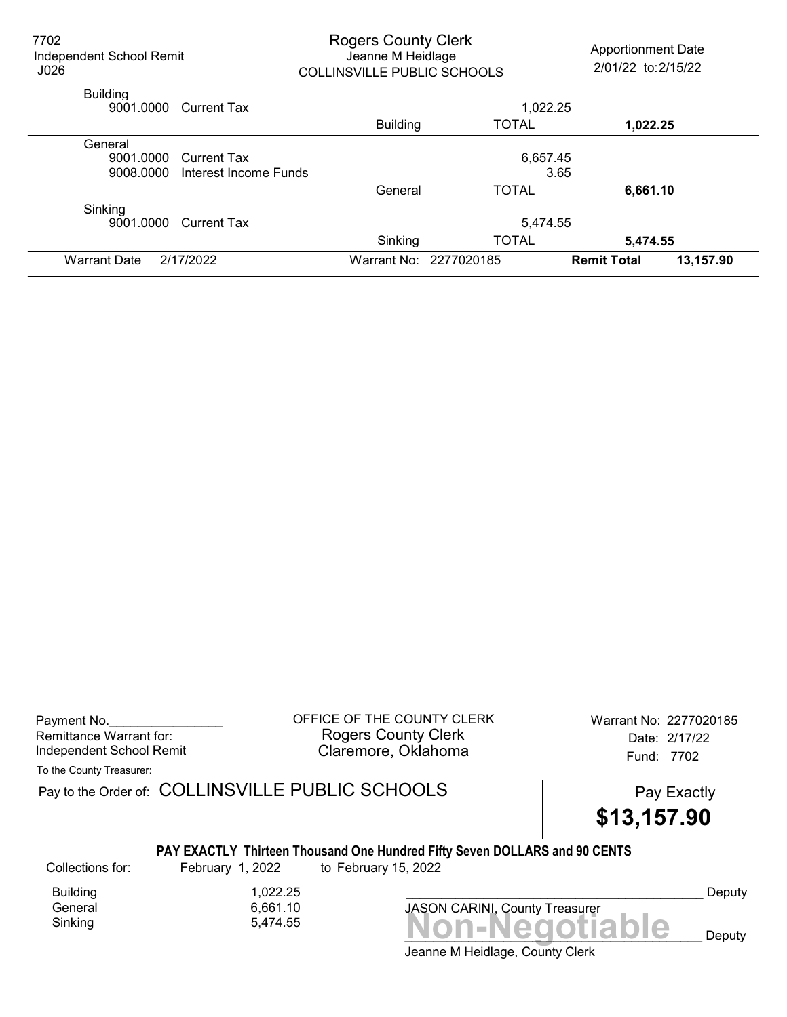| 7702<br>Independent School Remit<br>J026 |                                      | <b>Rogers County Clerk</b><br>Jeanne M Heidlage<br>COLLINSVILLE PUBLIC SCHOOLS |                                          | <b>Apportionment Date</b><br>2/01/22 to: 2/15/22 |
|------------------------------------------|--------------------------------------|--------------------------------------------------------------------------------|------------------------------------------|--------------------------------------------------|
| <b>Building</b><br>9001.0000             | Current Tax                          |                                                                                | 1,022.25                                 |                                                  |
|                                          |                                      | <b>Building</b>                                                                | <b>TOTAL</b>                             | 1,022.25                                         |
| General<br>9001.0000<br>9008.0000        | Current Tax<br>Interest Income Funds |                                                                                | 6,657.45                                 | 3.65                                             |
| Sinking<br>9001.0000                     | <b>Current Tax</b>                   | General<br>Sinking                                                             | <b>TOTAL</b><br>5,474.55<br><b>TOTAL</b> | 6,661.10<br>5,474.55                             |
| <b>Warrant Date</b>                      | 2/17/2022                            |                                                                                | Warrant No: 2277020185                   | <b>Remit Total</b><br>13,157.90                  |

Payment No. 2277020185 Rogers County Clerk Date: 2/17/22 Independent School Remit **Claremore, Oklahoma** Fund: 7702

To the County Treasurer:

Pay to the Order of: COLLINSVILLE PUBLIC SCHOOLS Pay Exactly



# PAY EXACTLY Thirteen Thousand One Hundred Fifty Seven DOLLARS and 90 CENTS

Collections for: February 1, 2022 to February 15, 2022

Building 1,022.25<br>General 6,661.10 6,661.10

Sinking 5,474.55 **Non-Negotiable** 

Deputy

 $\sum$   $\bigcup$   $\bigcup$   $\bigcap$   $\bigcap$   $\bigcap$   $\bigcap$ 

Jeanne M Heidlage, County Clerk

JASON CARINI, County Treasurer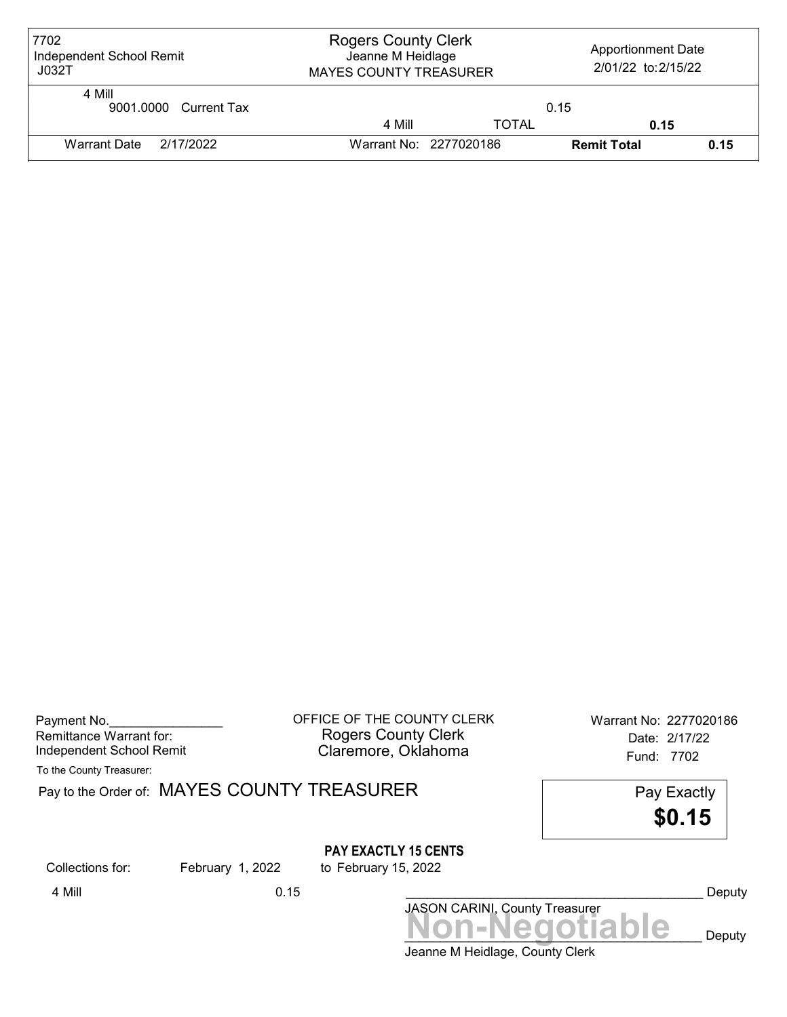| 7702<br>Independent School Remit<br>JO32T | <b>Rogers County Clerk</b><br>Jeanne M Heidlage<br><b>MAYES COUNTY TREASURER</b> | <b>Apportionment Date</b><br>2/01/22 to: 2/15/22 |                    |      |
|-------------------------------------------|----------------------------------------------------------------------------------|--------------------------------------------------|--------------------|------|
| 4 Mill<br>9001.0000 Current Tax           |                                                                                  |                                                  | 0.15               |      |
|                                           | 4 Mill                                                                           | <b>TOTAL</b>                                     | 0.15               |      |
| Warrant Date 2/17/2022                    |                                                                                  | Warrant No: 2277020186                           | <b>Remit Total</b> | 0.15 |

| Payment No.              |  |
|--------------------------|--|
| Remittance Warrant for:  |  |
| Independent School Remit |  |

OFFICE OF THE COUNTY CLERK Warrant No: 2277020186 Rogers County Clerk Date: 2/17/22 Claremore, Oklahoma<br>Fund: 7702

To the County Treasurer:

Pay to the Order of: MAYES COUNTY TREASURER

|    | Pay Exactly |
|----|-------------|
|    | \$0.15      |
| ГS |             |

Collections for: February 1, 2022 to February 15, 2022

PAY EXACTLY 15 CENT

JASON CARINI, County Treasurer<br>
MON-Negotiable Deputy 4 Mill 0.15 \_\_\_\_\_\_\_\_\_\_\_\_\_\_\_\_\_\_\_\_\_\_\_\_\_\_\_\_\_\_\_\_\_\_\_\_\_\_\_\_\_\_ Deputy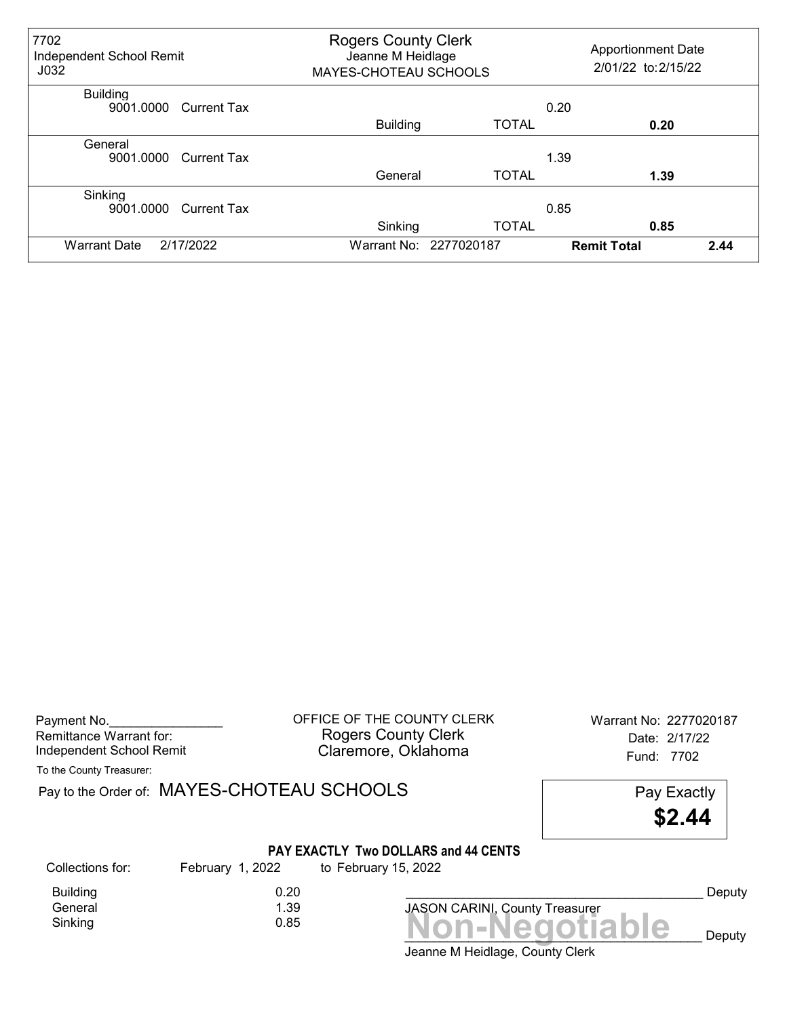| 7702<br>Independent School Remit<br>J <sub>032</sub> | <b>Rogers County Clerk</b><br>Jeanne M Heidlage<br>MAYES-CHOTEAU SCHOOLS |                        | <b>Apportionment Date</b><br>2/01/22 to: 2/15/22 |      |
|------------------------------------------------------|--------------------------------------------------------------------------|------------------------|--------------------------------------------------|------|
| <b>Building</b><br>9001.0000<br>Current Tax          |                                                                          |                        | 0.20                                             |      |
|                                                      | <b>Building</b>                                                          | <b>TOTAL</b>           | 0.20                                             |      |
| General<br>9001.0000<br><b>Current Tax</b>           |                                                                          |                        | 1.39                                             |      |
|                                                      | General                                                                  | <b>TOTAL</b>           | 1.39                                             |      |
| Sinking<br>9001.0000<br><b>Current Tax</b>           |                                                                          |                        | 0.85                                             |      |
|                                                      | Sinking                                                                  | <b>TOTAL</b>           | 0.85                                             |      |
| 2/17/2022<br><b>Warrant Date</b>                     |                                                                          | Warrant No: 2277020187 | <b>Remit Total</b>                               | 2.44 |

Payment No. 2277020187 Rogers County Clerk Date: 2/17/22 Independent School Remit **Claremore, Oklahoma** Fund: 7702

To the County Treasurer:

Pay to the Order of: MAYES-CHOTEAU SCHOOLS Pay Exactly

\$2.44

### PAY EXACTLY Two DOLLARS and 44 CENTS

Collections for: February 1, 2022 to February 15, 2022

 $Sinking$   $0.85$   $$ Building 0.20<br>1.39 Ceneral General

JASON CARINI, County Treasurer

Deputy

 $\bigcirc$   $\bigcirc$  Deputy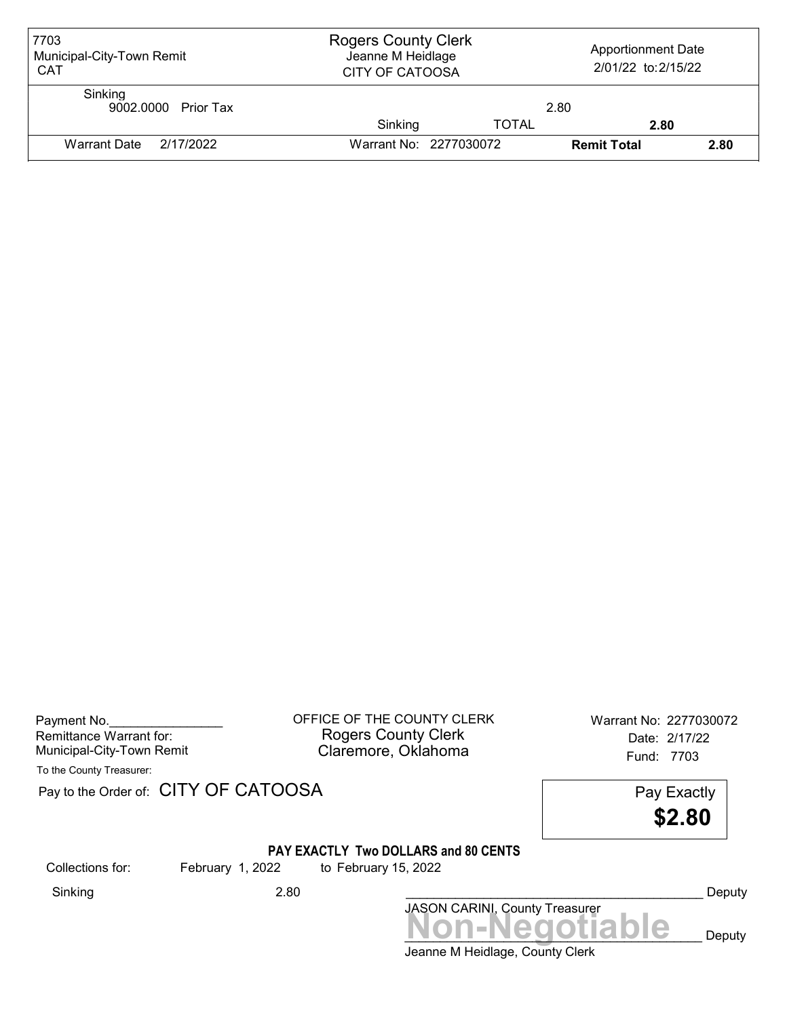| 7703<br>Municipal-City-Town Remit<br><b>CAT</b> | <b>Rogers County Clerk</b><br>Jeanne M Heidlage<br><b>CITY OF CATOOSA</b> |              | <b>Apportionment Date</b><br>2/01/22 to: 2/15/22 |      |  |
|-------------------------------------------------|---------------------------------------------------------------------------|--------------|--------------------------------------------------|------|--|
| Sinking<br>9002.0000 Prior Tax                  |                                                                           | 2.80         |                                                  |      |  |
|                                                 | Sinking                                                                   | <b>TOTAL</b> | 2.80                                             |      |  |
| Warrant Date<br>2/17/2022                       | Warrant No: 2277030072                                                    |              | <b>Remit Total</b>                               | 2.80 |  |

| Payment No.               |  |
|---------------------------|--|
| Remittance Warrant for:   |  |
| Municipal-City-Town Remit |  |

OFFICE OF THE COUNTY CLERK Warrant No: 2277030072 Rogers County Clerk Date: 2/17/22 Claremore, Oklahoma<br>Fund: 7703

To the County Treasurer:

Pay to the Order of: CITY OF CATOOSA Pay Exactly

\$2.80

### PAY EXACTLY Two DOLLARS and 80 CENTS

Collections for: February 1, 2022 to February 15, 2022

JASON CARINI, County Treasurer<br>
MON-Negotiable Deputy Sinking 2.80 \_\_\_\_\_\_\_\_\_\_\_\_\_\_\_\_\_\_\_\_\_\_\_\_\_\_\_\_\_\_\_\_\_\_\_\_\_\_\_\_\_\_ Deputy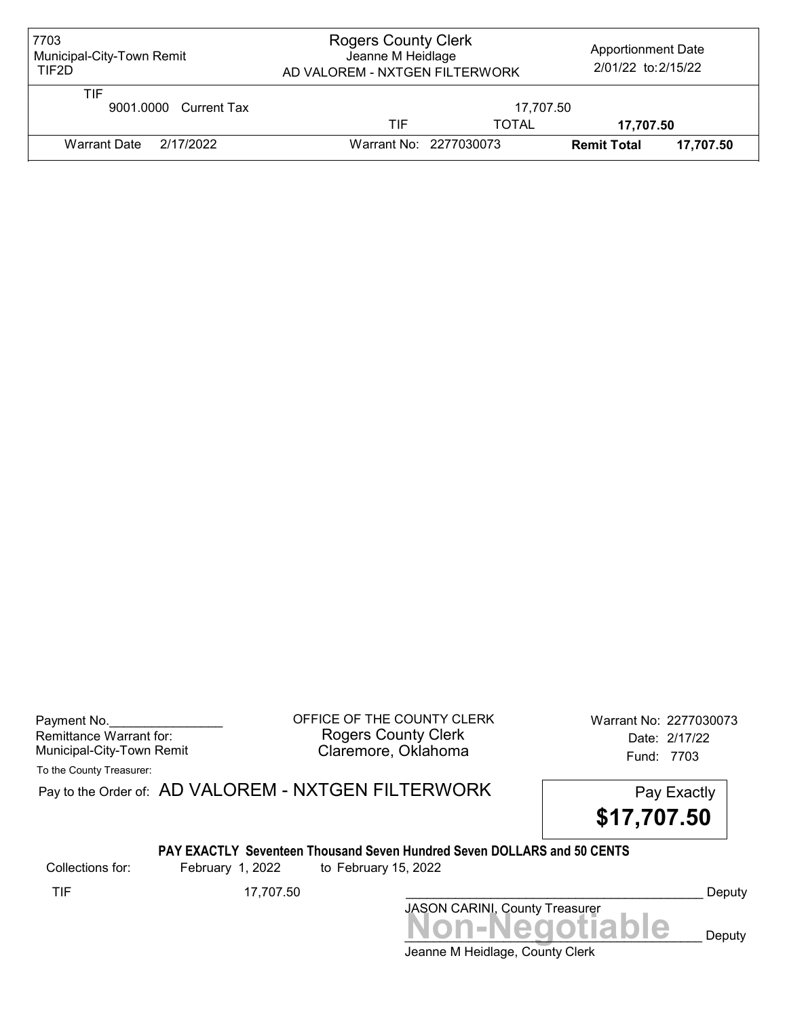| 7703<br>Municipal-City-Town Remit<br>TIF2D | <b>Rogers County Clerk</b><br>Jeanne M Heidlage<br>AD VALOREM - NXTGEN FILTERWORK |                        | Apportionment Date<br>2/01/22 to: 2/15/22 |           |
|--------------------------------------------|-----------------------------------------------------------------------------------|------------------------|-------------------------------------------|-----------|
| TIF<br>9001.0000 Current Tax               |                                                                                   | 17.707.50              |                                           |           |
|                                            | TIF                                                                               | <b>TOTAL</b>           | 17.707.50                                 |           |
| Warrant Date<br>2/17/2022                  |                                                                                   | Warrant No: 2277030073 | <b>Remit Total</b>                        | 17.707.50 |

| Payment No.               |  |
|---------------------------|--|
| Remittance Warrant for:   |  |
| Municipal-City-Town Remit |  |

OFFICE OF THE COUNTY CLERK Warrant No: 2277030073 Rogers County Clerk Date: 2/17/22 Claremore, Oklahoma<br>Fund: 7703

To the County Treasurer:

Pay to the Order of: AD VALOREM - NXTGEN FILTERWORK Pay Exactly



#### PAY EXACTLY Seventeen Thousand Seven Hundred Seven DOLLARS and 50 CENTS

Collections for: February 1, 2022 to February 15, 2022

Jeanne M Heidlage, County Clerk JASON CARINI, County Treasurer<br>
MON-Negotiable Deputy TIF 17,707.50 \_\_\_\_\_\_\_\_\_\_\_\_\_\_\_\_\_\_\_\_\_\_\_\_\_\_\_\_\_\_\_\_\_\_\_\_\_\_\_\_\_\_ Deputy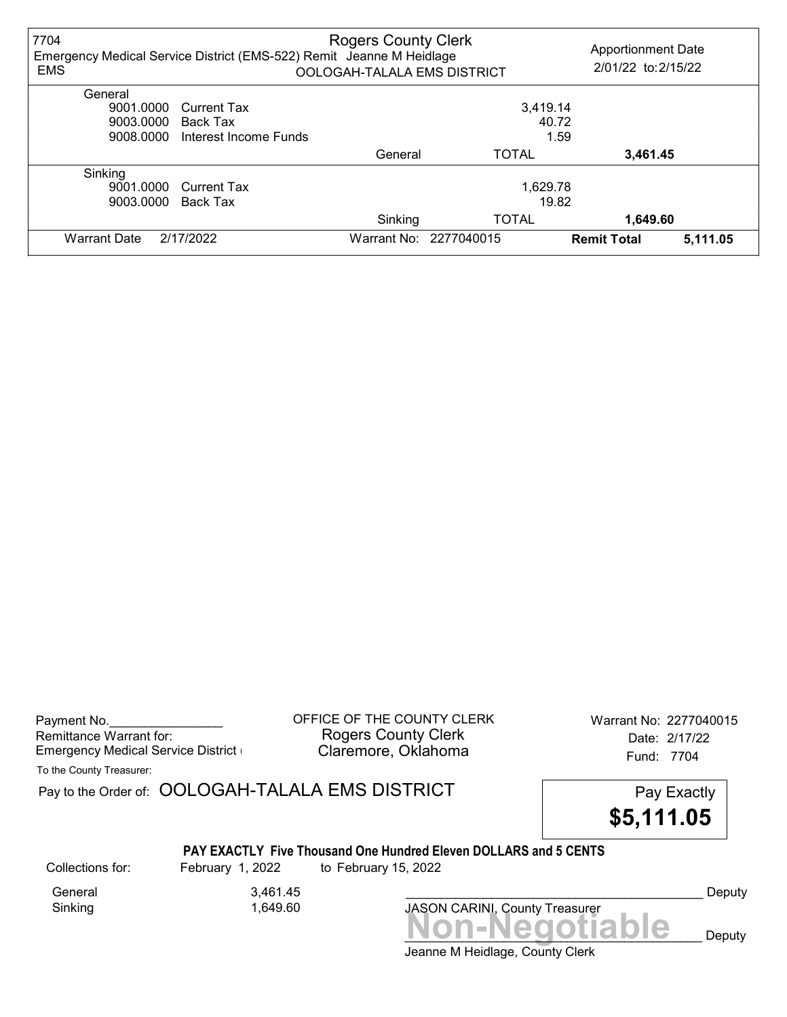| 7704<br><b>EMS</b>  | Emergency Medical Service District (EMS-522) Remit Jeanne M Heidlage | <b>Rogers County Clerk</b><br>OOLOGAH-TALALA EMS DISTRICT |                        | <b>Apportionment Date</b><br>2/01/22 to: 2/15/22 |          |
|---------------------|----------------------------------------------------------------------|-----------------------------------------------------------|------------------------|--------------------------------------------------|----------|
| General             |                                                                      |                                                           |                        |                                                  |          |
| 9001.0000           | Current Tax                                                          |                                                           | 3,419.14               |                                                  |          |
| 9003.0000           | Back Tax                                                             |                                                           | 40.72                  |                                                  |          |
| 9008.0000           | Interest Income Funds                                                |                                                           | 1.59                   |                                                  |          |
|                     |                                                                      | General                                                   | <b>TOTAL</b>           | 3,461.45                                         |          |
| Sinking             |                                                                      |                                                           |                        |                                                  |          |
| 9001.0000           | <b>Current Tax</b>                                                   |                                                           | 1,629.78               |                                                  |          |
| 9003.0000           | Back Tax                                                             |                                                           | 19.82                  |                                                  |          |
|                     |                                                                      | Sinking                                                   | <b>TOTAL</b>           | 1,649.60                                         |          |
| <b>Warrant Date</b> | 2/17/2022                                                            |                                                           | Warrant No: 2277040015 | <b>Remit Total</b>                               | 5,111.05 |

Payment No. 2277040015 Rogers County Clerk<br>Claremore, Oklahoma<br>
Fund: 7704 Emergency Medical Service District **Claremore, Oklahoma** Fund: 7704

To the County Treasurer:

Pay to the Order of: OOLOGAH-TALALA EMS DISTRICT Pay Exactly



#### PAY EXACTLY Five Thousand One Hundred Eleven DOLLARS and 5 CENTS

Sinking 1,649.60

General 3,461.45

Collections for: February 1, 2022 to February 15, 2022

Deputy

Jeanne M Heidlage, County Clerk Non-Negotiable Deputy

JASON CARINI, County Treasurer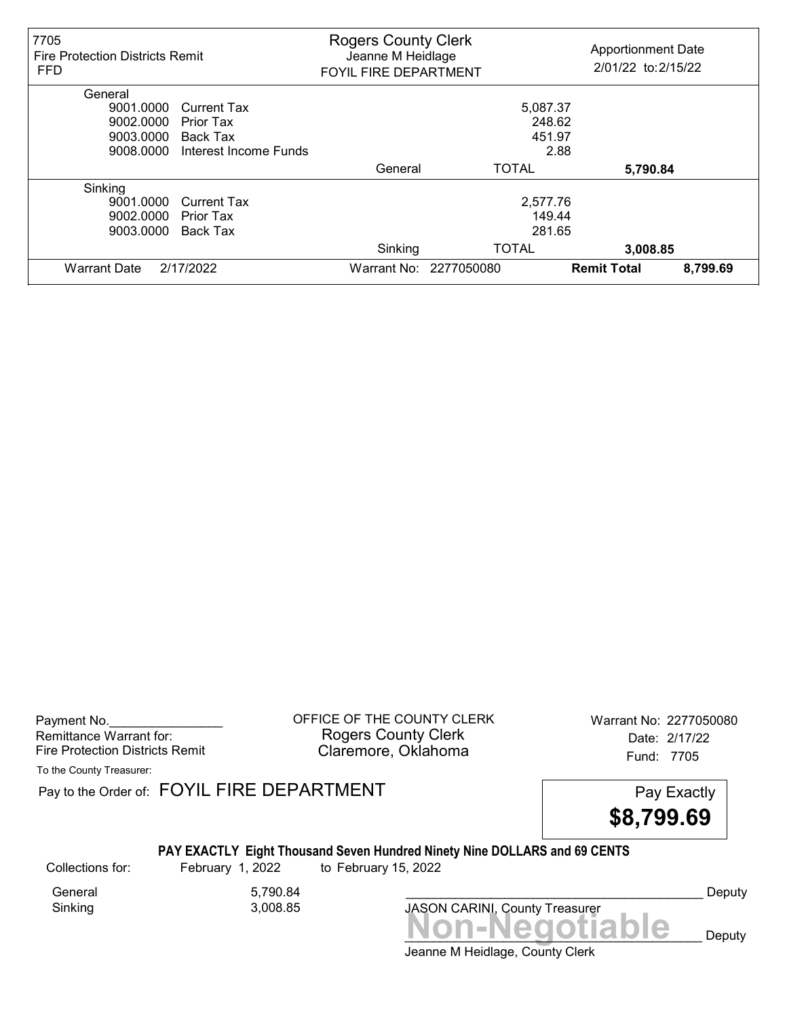| 7705<br><b>Fire Protection Districts Remit</b><br><b>FFD</b> |                       | <b>Rogers County Clerk</b><br>Jeanne M Heidlage<br><b>FOYIL FIRE DEPARTMENT</b> |                        | <b>Apportionment Date</b><br>2/01/22 to: 2/15/22 |          |
|--------------------------------------------------------------|-----------------------|---------------------------------------------------------------------------------|------------------------|--------------------------------------------------|----------|
| General                                                      |                       |                                                                                 |                        |                                                  |          |
| 9001.0000                                                    | <b>Current Tax</b>    |                                                                                 | 5,087.37               |                                                  |          |
| 9002.0000                                                    | Prior Tax             |                                                                                 | 248.62                 |                                                  |          |
| 9003.0000                                                    | Back Tax              |                                                                                 | 451.97                 |                                                  |          |
| 9008.0000                                                    | Interest Income Funds |                                                                                 |                        | 2.88                                             |          |
|                                                              |                       | General                                                                         | <b>TOTAL</b>           | 5,790.84                                         |          |
| Sinking                                                      |                       |                                                                                 |                        |                                                  |          |
| 9001.0000                                                    | <b>Current Tax</b>    |                                                                                 | 2,577.76               |                                                  |          |
| 9002.0000                                                    | Prior Tax             |                                                                                 | 149.44                 |                                                  |          |
| 9003.0000                                                    | Back Tax              | 281.65                                                                          |                        |                                                  |          |
|                                                              |                       | Sinking                                                                         | <b>TOTAL</b>           | 3,008.85                                         |          |
| <b>Warrant Date</b>                                          | 2/17/2022             |                                                                                 | Warrant No: 2277050080 | <b>Remit Total</b>                               | 8,799.69 |

Payment No. 2277050080 CHENGE OF THE COUNTY CLERK Warrant No: 2277050080 Rogers County Clerk Date: 2/17/22 Fire Protection Districts Remit **Claremore, Oklahoma** Fund: 7705

To the County Treasurer:

Pay to the Order of: FOYIL FIRE DEPARTMENT FREE PAY EXACTLY



# PAY EXACTLY Eight Thousand Seven Hundred Ninety Nine DOLLARS and 69 CENTS

Collections for: February 1, 2022 to February 15, 2022

General 5,790.84<br>Sinking 3,008.85

Sinking 3,008.85



Deputy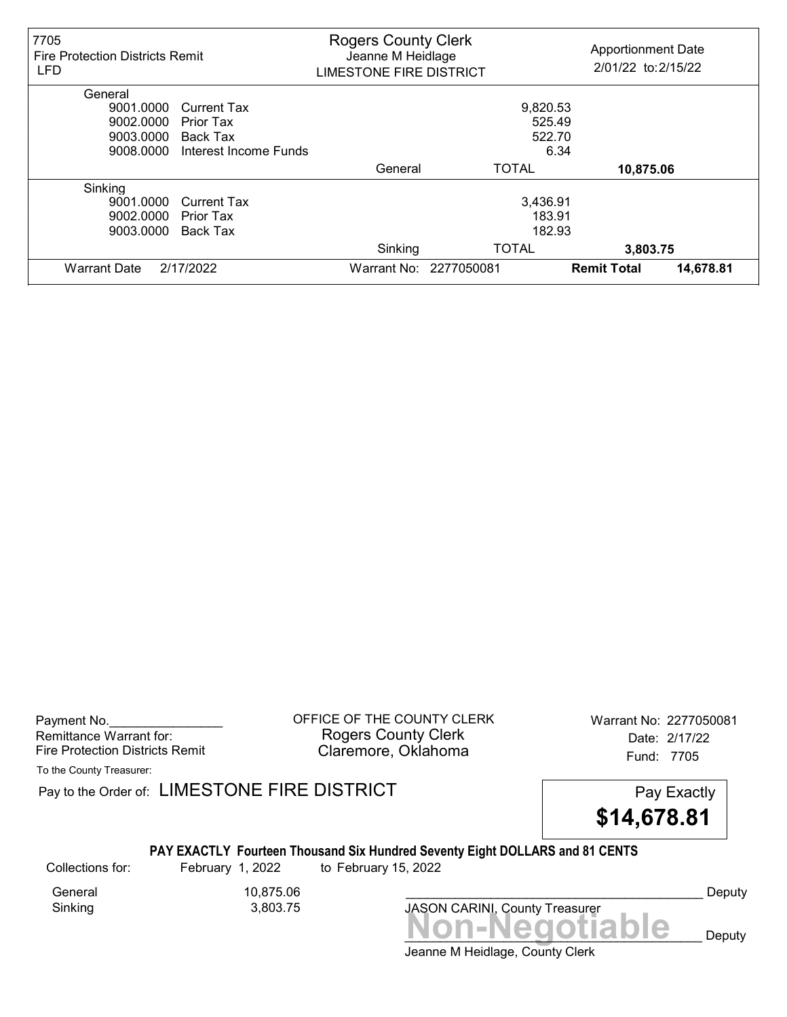| 7705<br><b>Fire Protection Districts Remit</b><br>LFD |                       | <b>Rogers County Clerk</b><br>Jeanne M Heidlage<br><b>LIMESTONE FIRE DISTRICT</b> |                        | <b>Apportionment Date</b><br>2/01/22 to: 2/15/22 |           |
|-------------------------------------------------------|-----------------------|-----------------------------------------------------------------------------------|------------------------|--------------------------------------------------|-----------|
| General                                               |                       |                                                                                   |                        |                                                  |           |
| 9001.0000                                             | <b>Current Tax</b>    |                                                                                   | 9,820.53               |                                                  |           |
| 9002.0000                                             | Prior Tax             |                                                                                   | 525.49                 |                                                  |           |
| 9003.0000                                             | <b>Back Tax</b>       |                                                                                   | 522.70                 |                                                  |           |
| 9008.0000                                             | Interest Income Funds |                                                                                   | 6.34                   |                                                  |           |
|                                                       |                       | General                                                                           | <b>TOTAL</b>           | 10,875.06                                        |           |
| Sinking                                               |                       |                                                                                   |                        |                                                  |           |
| 9001.0000                                             | <b>Current Tax</b>    |                                                                                   | 3,436.91               |                                                  |           |
| 9002.0000                                             | Prior Tax             |                                                                                   | 183.91                 |                                                  |           |
| 9003.0000                                             | Back Tax              |                                                                                   | 182.93                 |                                                  |           |
|                                                       |                       | Sinking                                                                           | <b>TOTAL</b>           | 3,803.75                                         |           |
| <b>Warrant Date</b>                                   | 2/17/2022             |                                                                                   | Warrant No: 2277050081 | <b>Remit Total</b>                               | 14,678.81 |

Payment No. 2277050081 CONTICE OF THE COUNTY CLERK Warrant No: 2277050081 Rogers County Clerk Date: 2/17/22 Fire Protection Districts Remit **Claremore, Oklahoma** Fund: 7705

To the County Treasurer:

Pay to the Order of: LIMESTONE FIRE DISTRICT Pay Exactly Pay Exactly



### PAY EXACTLY Fourteen Thousand Six Hundred Seventy Eight DOLLARS and 81 CENTS

Sinking 3,803.75

General 10,875.06

Collections for: February 1, 2022 to February 15, 2022

Non-Negotiable Deputy JASON CARINI, County Treasurer

Deputy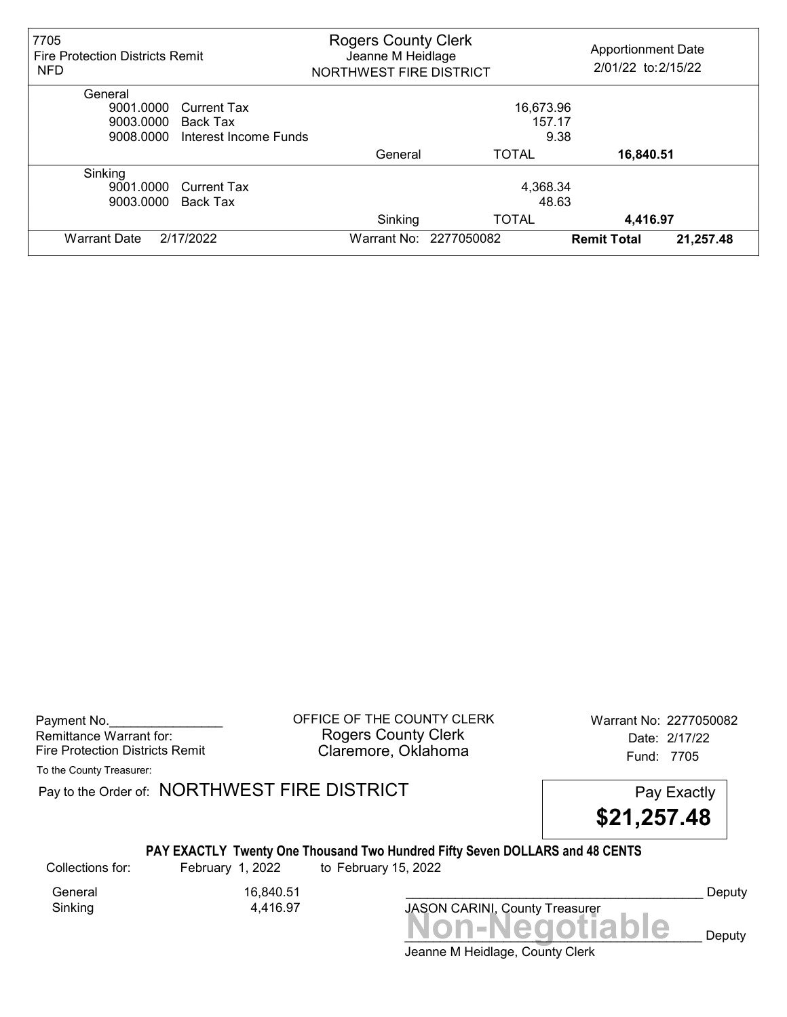| 7705<br><b>Fire Protection Districts Remit</b><br><b>NFD</b> |                       | <b>Rogers County Clerk</b><br>Jeanne M Heidlage<br>NORTHWEST FIRE DISTRICT |                        | <b>Apportionment Date</b><br>2/01/22 to: 2/15/22 |           |
|--------------------------------------------------------------|-----------------------|----------------------------------------------------------------------------|------------------------|--------------------------------------------------|-----------|
| General                                                      |                       |                                                                            |                        |                                                  |           |
| 9001.0000                                                    | <b>Current Tax</b>    |                                                                            | 16,673.96              |                                                  |           |
| 9003.0000                                                    | Back Tax              |                                                                            | 157.17                 |                                                  |           |
| 9008.0000                                                    | Interest Income Funds |                                                                            |                        | 9.38                                             |           |
|                                                              |                       | General                                                                    | <b>TOTAL</b>           | 16,840.51                                        |           |
| Sinking                                                      |                       |                                                                            |                        |                                                  |           |
|                                                              | 9001.0000 Current Tax |                                                                            | 4,368.34               |                                                  |           |
| 9003.0000                                                    | Back Tax              |                                                                            | 48.63                  |                                                  |           |
|                                                              |                       | Sinking                                                                    | <b>TOTAL</b>           | 4,416.97                                         |           |
| <b>Warrant Date</b>                                          | 2/17/2022             |                                                                            | Warrant No: 2277050082 | <b>Remit Total</b>                               | 21,257.48 |

Payment No. 2277050082<br>
OFFICE OF THE COUNTY CLERK Warrant No: 2277050082 Rogers County Clerk Date: 2/17/22 Fire Protection Districts Remit **Claremore, Oklahoma** Fund: 7705

To the County Treasurer:

Pay to the Order of: NORTHWEST FIRE DISTRICT FIRE Pay Exactly

\$21,257.48

# PAY EXACTLY Twenty One Thousand Two Hundred Fifty Seven DOLLARS and 48 CENTS

General 16,840.51

Collections for: February 1, 2022 to February 15, 2022

Sinking 4,416.97

Non-Negotiable Deputy JASON CARINI, County Treasurer

Deputy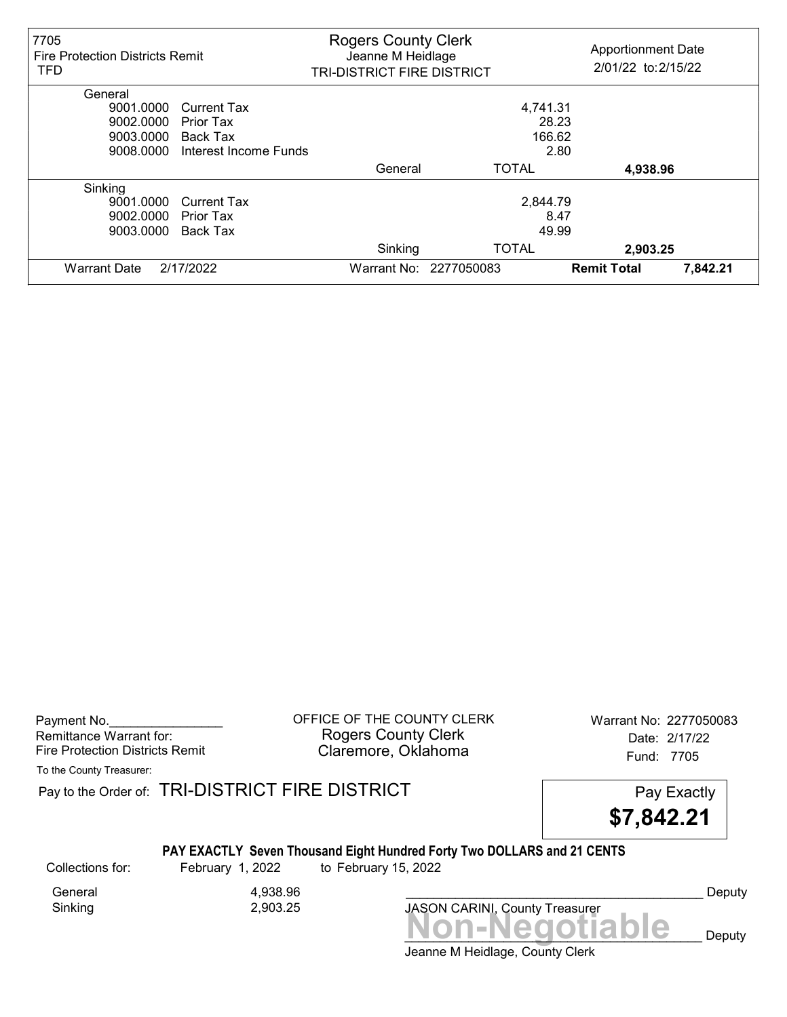| 7705<br><b>Fire Protection Districts Remit</b><br><b>TFD</b> |                       | <b>Rogers County Clerk</b><br>Jeanne M Heidlage<br><b>TRI-DISTRICT FIRE DISTRICT</b> |              | <b>Apportionment Date</b><br>2/01/22 to: 2/15/22 |
|--------------------------------------------------------------|-----------------------|--------------------------------------------------------------------------------------|--------------|--------------------------------------------------|
| General                                                      |                       |                                                                                      |              |                                                  |
| 9001.0000                                                    | <b>Current Tax</b>    |                                                                                      | 4,741.31     |                                                  |
| 9002.0000                                                    | Prior Tax             |                                                                                      | 28.23        |                                                  |
| 9003.0000                                                    | Back Tax              |                                                                                      | 166.62       |                                                  |
| 9008.0000                                                    | Interest Income Funds |                                                                                      | 2.80         |                                                  |
|                                                              |                       | General                                                                              | <b>TOTAL</b> | 4,938.96                                         |
| Sinking                                                      |                       |                                                                                      |              |                                                  |
| 9001.0000                                                    | <b>Current Tax</b>    |                                                                                      | 2,844.79     |                                                  |
| 9002.0000                                                    | Prior Tax             |                                                                                      | 8.47         |                                                  |
| 9003.0000                                                    | Back Tax              | 49.99                                                                                |              |                                                  |
|                                                              |                       | Sinking                                                                              | <b>TOTAL</b> | 2,903.25                                         |
| <b>Warrant Date</b>                                          | 2/17/2022             | Warrant No:                                                                          | 2277050083   | 7,842.21<br><b>Remit Total</b>                   |

Payment No. 2277050083 COFFICE OF THE COUNTY CLERK Warrant No: 2277050083 Rogers County Clerk Date: 2/17/22 Fire Protection Districts Remit **Claremore, Oklahoma** Fund: 7705

To the County Treasurer:

Pay to the Order of: TRI-DISTRICT FIRE DISTRICT **Pay Exactly** Pay Exactly

\$7,842.21

# PAY EXACTLY Seven Thousand Eight Hundred Forty Two DOLLARS and 21 CENTS

Sinking 2,903.25

General 4,938.96

Collections for: February 1, 2022 to February 15, 2022

Non-Negotiable Deputy JASON CARINI, County Treasurer

Deputy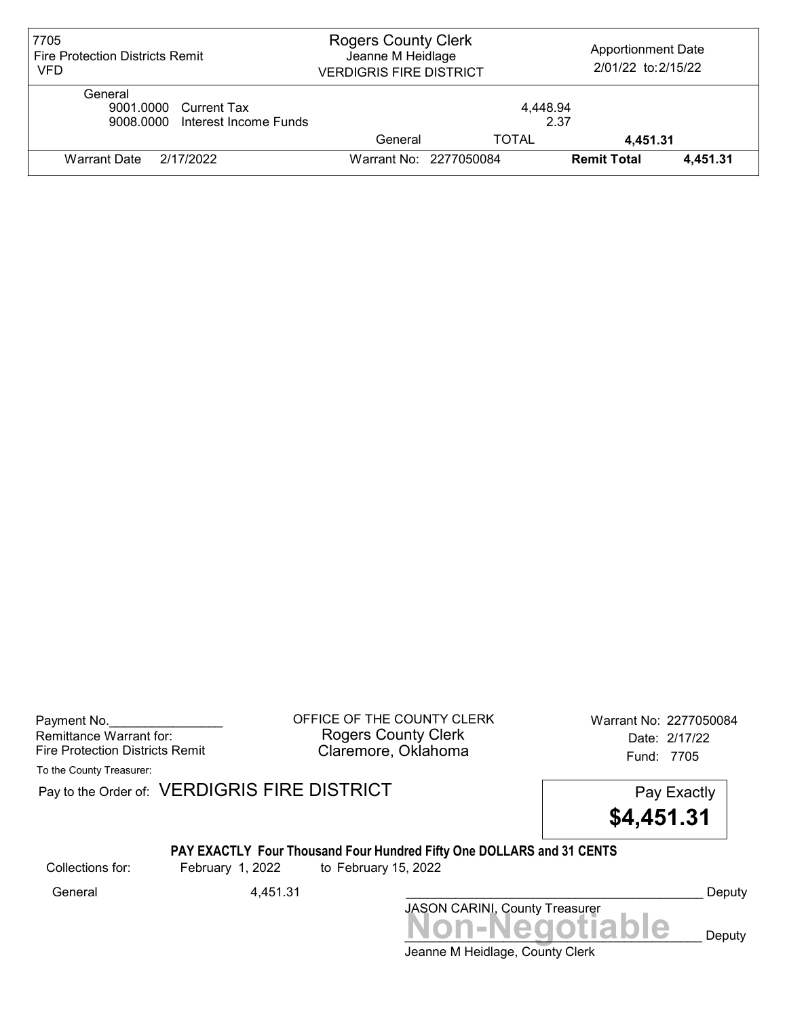| 7705<br><b>Fire Protection Districts Remit</b><br>VFD               | <b>Rogers County Clerk</b><br>Jeanne M Heidlage<br><b>VERDIGRIS FIRE DISTRICT</b> |                        | <b>Apportionment Date</b><br>2/01/22 to: 2/15/22 |          |
|---------------------------------------------------------------------|-----------------------------------------------------------------------------------|------------------------|--------------------------------------------------|----------|
| General<br>9001.0000 Current Tax<br>9008,0000 Interest Income Funds |                                                                                   | 4.448.94               | 2.37                                             |          |
|                                                                     | General                                                                           | TOTAL                  | 4,451.31                                         |          |
| 2/17/2022<br><b>Warrant Date</b>                                    |                                                                                   | Warrant No: 2277050084 | <b>Remit Total</b>                               | 4,451.31 |

Payment No. 2277050084 Rogers County Clerk Date: 2/17/22 Fire Protection Districts Remit **Claremore, Oklahoma** Fund: 7705

To the County Treasurer:

Pay to the Order of: VERDIGRIS FIRE DISTRICT Pay Exactly

\$4,451.31

### PAY EXACTLY Four Thousand Four Hundred Fifty One DOLLARS and 31 CENTS

Collections for: February 1, 2022 to February 15, 2022

JASON CARINI, County Treasurer General 4,451.31 \_\_\_\_\_\_\_\_\_\_\_\_\_\_\_\_\_\_\_\_\_\_\_\_\_\_\_\_\_\_\_\_\_\_\_\_\_\_\_\_\_\_ Deputy

Jeanne M Heidlage, County Clerk Non-Negotiable Deputy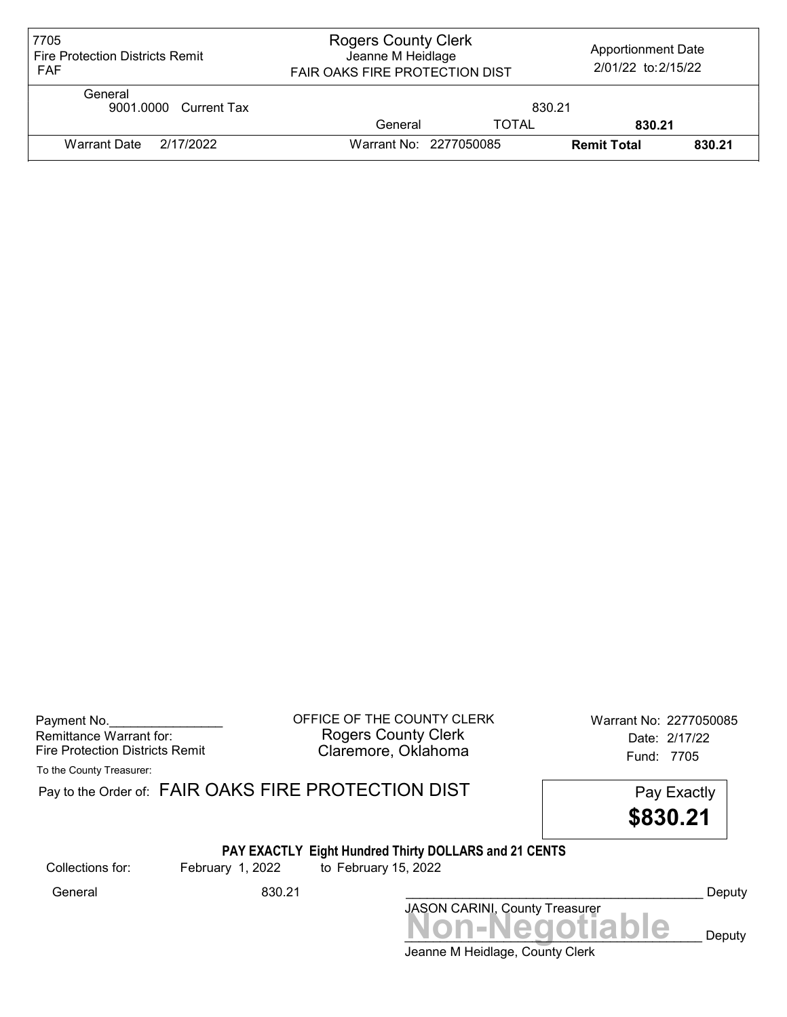| 7705<br><b>Fire Protection Districts Remit</b><br><b>FAF</b> | <b>Rogers County Clerk</b><br><b>Apportionment Date</b><br>Jeanne M Heidlage<br>2/01/22 to: 2/15/22<br><b>FAIR OAKS FIRE PROTECTION DIST</b> |              |                    |        |
|--------------------------------------------------------------|----------------------------------------------------------------------------------------------------------------------------------------------|--------------|--------------------|--------|
| General<br>9001.0000 Current Tax                             |                                                                                                                                              | 830.21       |                    |        |
|                                                              | General                                                                                                                                      | <b>TOTAL</b> | 830.21             |        |
| 2/17/2022<br>Warrant Date                                    | Warrant No: 2277050085                                                                                                                       |              | <b>Remit Total</b> | 830.21 |

| Payment No.                     |
|---------------------------------|
| Remittance Warrant for:         |
| Fire Protection Districts Remit |

OFFICE OF THE COUNTY CLERK Warrant No: 2277050085 Rogers County Clerk **Date:** 2/17/22 Fire Protection Districts Remit **Exercise Claremore, Oklahoma** Fund: 7705

To the County Treasurer:

|                  | Pay to the Order of: FAIR OAKS FIRE PROTECTION DIST |                      | Pay Exactly<br>\$830.21                               |        |
|------------------|-----------------------------------------------------|----------------------|-------------------------------------------------------|--------|
| Collections for: | February 1, 2022                                    | to February 15, 2022 | PAY EXACTLY Eight Hundred Thirty DOLLARS and 21 CENTS |        |
| General          | 830.21                                              |                      | JASON CARINI, County Treasurer                        | Deputy |
|                  |                                                     |                      | Non-Negotiable                                        | Deputy |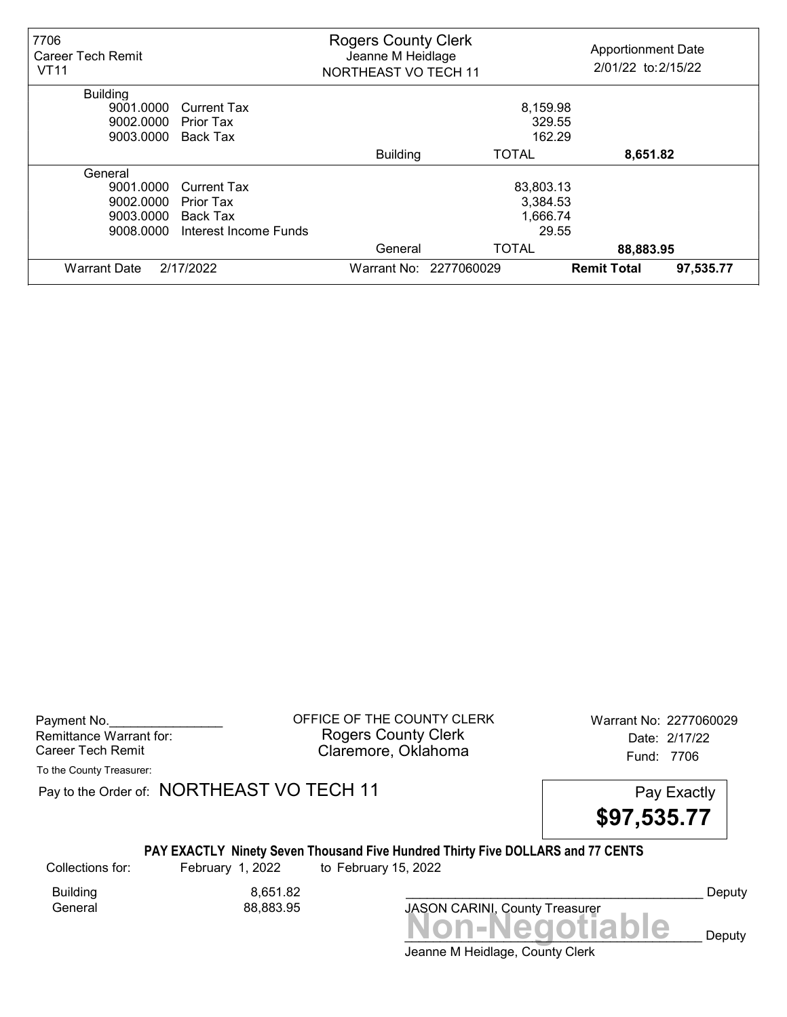| 7706<br>Career Tech Remit<br><b>VT11</b> |                       | <b>Rogers County Clerk</b><br>Jeanne M Heidlage<br><b>NORTHEAST VO TECH 11</b> |                        | <b>Apportionment Date</b><br>2/01/22 to: 2/15/22 |           |  |
|------------------------------------------|-----------------------|--------------------------------------------------------------------------------|------------------------|--------------------------------------------------|-----------|--|
| <b>Building</b>                          |                       |                                                                                |                        |                                                  |           |  |
| 9001.0000                                | <b>Current Tax</b>    | 8,159.98                                                                       |                        |                                                  |           |  |
| 9002.0000                                | Prior Tax             | 329.55                                                                         |                        |                                                  |           |  |
| 9003.0000                                | Back Tax              | 162.29                                                                         |                        |                                                  |           |  |
|                                          |                       | <b>Building</b>                                                                | <b>TOTAL</b>           | 8,651.82                                         |           |  |
| General                                  |                       |                                                                                |                        |                                                  |           |  |
| 9001.0000<br><b>Current Tax</b>          |                       |                                                                                | 83,803.13              |                                                  |           |  |
| 9002.0000<br>Prior Tax                   |                       |                                                                                | 3,384.53               |                                                  |           |  |
| 9003.0000                                | Back Tax              | 1,666.74                                                                       |                        |                                                  |           |  |
| 9008.0000                                | Interest Income Funds | 29.55                                                                          |                        |                                                  |           |  |
|                                          |                       | General                                                                        | <b>TOTAL</b>           | 88,883.95                                        |           |  |
| <b>Warrant Date</b>                      | 2/17/2022             |                                                                                | Warrant No: 2277060029 | <b>Remit Total</b>                               | 97,535.77 |  |

Payment No. 2277060029 COFFICE OF THE COUNTY CLERK Warrant No: 2277060029 Rogers County Clerk Date: 2/17/22 Career Tech Remit **Claremore, Oklahoma** Career Tech Remit 7706

To the County Treasurer:

Pay to the Order of: NORTHEAST VO TECH 11 Pay Exactly



# PAY EXACTLY Ninety Seven Thousand Five Hundred Thirty Five DOLLARS and 77 CENTS

Collections for: February 1, 2022 to February 15, 2022

Building 8,651.82<br>1998 - General March 2014<br>1998 - 1998 - 1999 - 1999 - 1999 - 1999 - 1999 - 1999 - 1999 - 1999 - 1999 - 1999 - 1999 - 1999 - 1999 - 199

General 88,883.95

Jeanne M Heidlage, County Clerk Non-Negotiable Deputy JASON CARINI, County Treasurer

Deputy